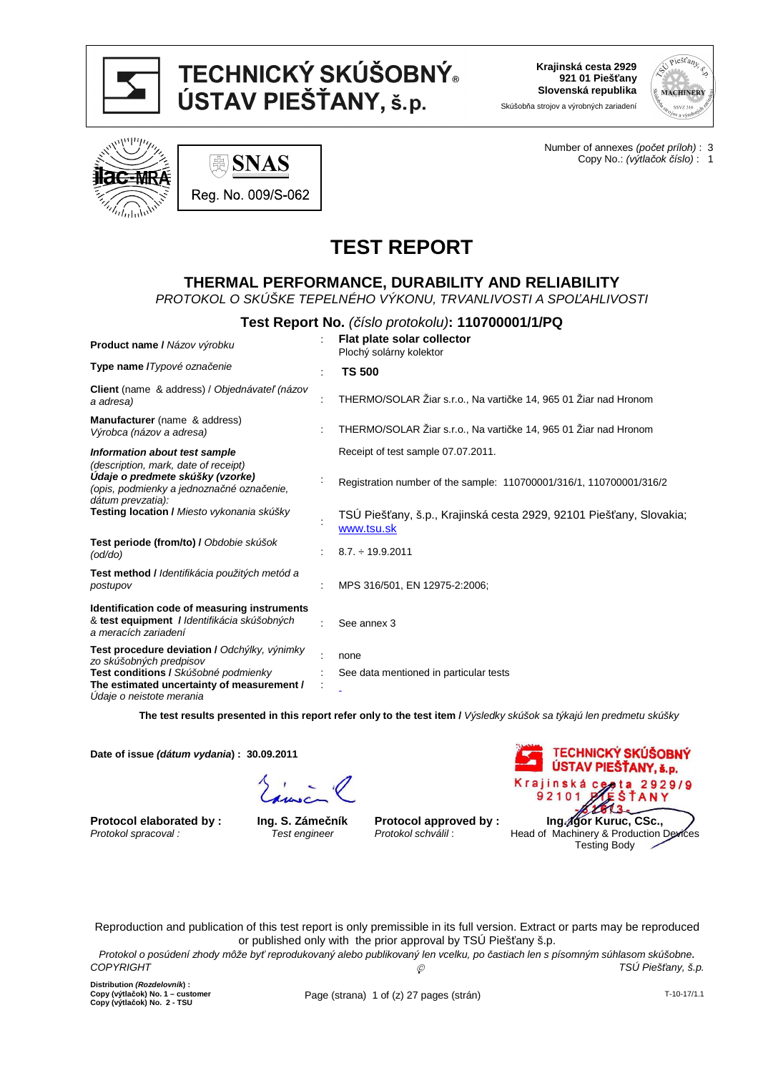

# TECHNICKÝ SKÚŠOBNÝ® ÚSTAV PIEŠŤANY, š.p.

**Krajinská cesta 2929 921 01 Piešťany Slovenská republika**

> Number of annexes (po*č*et príloh) : 3 Copy No.: (výtla*č*ok *č*íslo) : 1

Skúšobňa strojov a výrobných zariadení



**SNAS** Reg. No. 009/S-062

# **TEST REPORT**

# **THERMAL PERFORMANCE, DURABILITY AND RELIABILITY**

PROTOKOL O SKÚŠKE TEPELNÉHO VÝKONU, TRVANLIVOSTI A SPO*Ľ*AHLIVOSTI

| Test Report No. (číslo protokolu): 110700001/1/PQ                                                                                          |  |                                                                                   |  |  |  |
|--------------------------------------------------------------------------------------------------------------------------------------------|--|-----------------------------------------------------------------------------------|--|--|--|
| Product name / Názov výrobku                                                                                                               |  | Flat plate solar collector<br>Plochý solárny kolektor                             |  |  |  |
| Type name / Typové označenie                                                                                                               |  | <b>TS 500</b>                                                                     |  |  |  |
| Client (name & address) / Objednávateľ (názov<br>a adresa)                                                                                 |  | THERMO/SOLAR Žiar s.r.o., Na vartičke 14, 965 01 Žiar nad Hronom                  |  |  |  |
| <b>Manufacturer</b> (name & address)<br>Výrobca (názov a adresa)                                                                           |  | THERMO/SOLAR Žiar s.r.o., Na vartičke 14, 965 01 Žiar nad Hronom                  |  |  |  |
| Information about test sample                                                                                                              |  | Receipt of test sample 07.07.2011.                                                |  |  |  |
| (description, mark, date of receipt)<br>Udaje o predmete skúšky (vzorke)<br>(opis, podmienky a jednoznačné označenie,<br>dátum prevzatia): |  | Registration number of the sample: 110700001/316/1, 110700001/316/2               |  |  |  |
| Testing location / Miesto vykonania skúšky                                                                                                 |  | TSU Piešťany, š.p., Krajinská cesta 2929, 92101 Piešťany, Slovakia;<br>www.tsu.sk |  |  |  |
| Test periode (from/to) / Obdobie skúšok<br>(odd/do)                                                                                        |  | $8.7. \div 19.9.2011$                                                             |  |  |  |
| Test method / Identifikácia použitých metód a<br>postupov                                                                                  |  | MPS 316/501, EN 12975-2:2006;                                                     |  |  |  |
| Identification code of measuring instruments<br>& test equipment / Identifikácia skúšobných<br>a meracích zariadení                        |  | See annex 3                                                                       |  |  |  |
| Test procedure deviation / Odchýlky, výnimky                                                                                               |  | none                                                                              |  |  |  |
| zo skúšobných predpisov<br>Test conditions / Skúšobné podmienky<br>The estimated uncertainty of measurement /<br>Udaje o neistote merania  |  | See data mentioned in particular tests                                            |  |  |  |

 **The test results presented in this report refer only to the test item /** Výsledky skúšok sa týkajú len predmetu skúšky

**Date of issue (dátum vydania) : 30.09.2011**

**Protocol elaborated by :**  Protokol spracoval :

**Ing. S. Zámečník**  Test engineer

**Protocol approved by :** Protokol schválil :



Reproduction and publication of this test report is only premissible in its full version. Extract or parts may be reproduced or published only with the prior approval by TSÚ Piešťany š.p.

Protokol o posúdení zhody môže by*ť* reprodukovaný alebo publikovaný len vcelku, po *č*astiach len s písomným súhlasom skúšobne. **C**<sub> $\odot$ </sub> TSÚ Piešťany, š.p.

**Distribution (Rozdelovník) : Copy (výtlačok) No. 1 – customer Copy (výtlačok) No. 2 - TSU**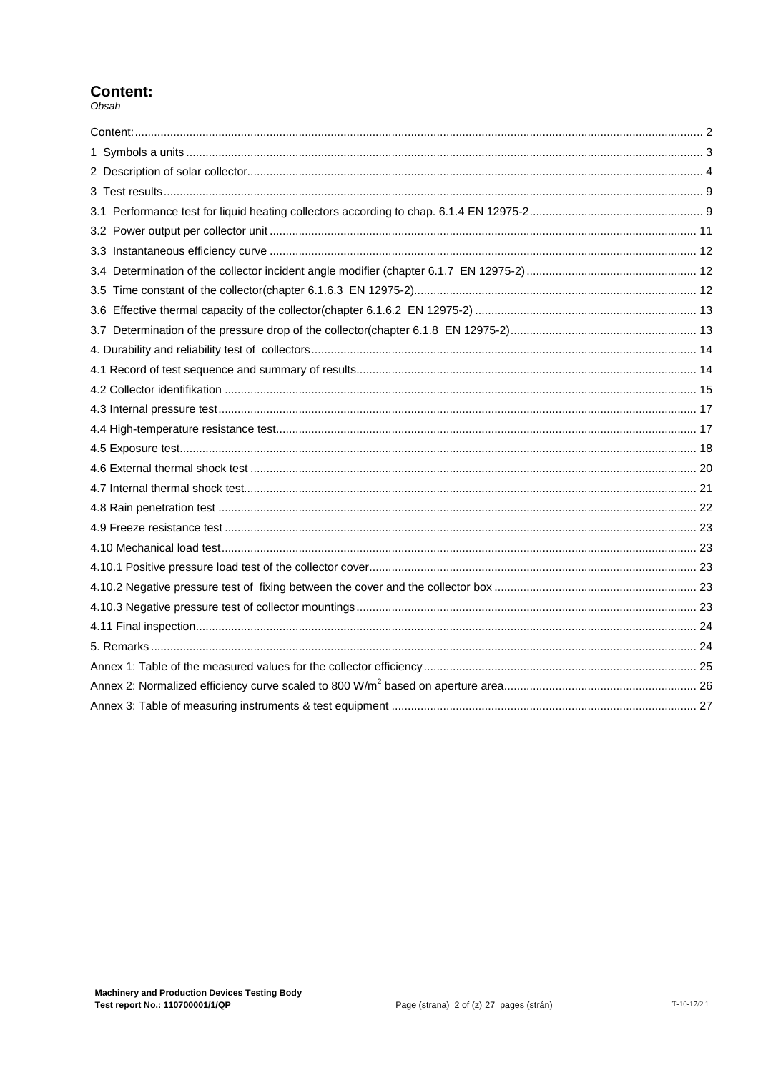# **Content:**

 $Obsah$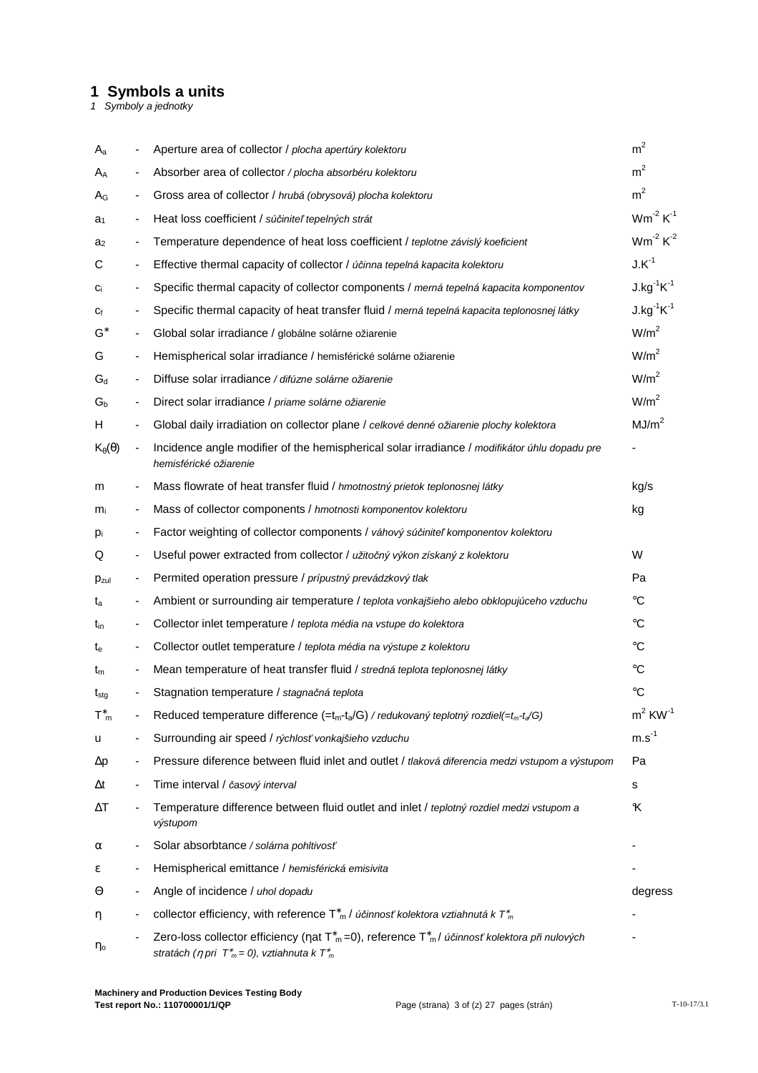# **1 Symbols a units**

1 Symboly a jednotky

| Aa                                           |                          | Aperture area of collector / plocha apertúry kolektoru                                                                                                                                                     | m <sup>2</sup>        |
|----------------------------------------------|--------------------------|------------------------------------------------------------------------------------------------------------------------------------------------------------------------------------------------------------|-----------------------|
| A <sub>A</sub>                               | -                        | Absorber area of collector / plocha absorbéru kolektoru                                                                                                                                                    | m <sup>2</sup>        |
| Ag                                           |                          | Gross area of collector / hrubá (obrysová) plocha kolektoru                                                                                                                                                | m <sup>2</sup>        |
| a <sub>1</sub>                               | -                        | Heat loss coefficient / súčiniteľ tepelných strát                                                                                                                                                          | $Wm^{-2} K^{-1}$      |
| a <sub>2</sub>                               |                          | Temperature dependence of heat loss coefficient / teplotne závislý koeficient                                                                                                                              | $Wm^{-2} K^{-2}$      |
| С                                            | -                        | Effective thermal capacity of collector / účinna tepelná kapacita kolektoru                                                                                                                                | $J.K^{-1}$            |
| Ci                                           | ۰                        | Specific thermal capacity of collector components / merná tepelná kapacita komponentov                                                                                                                     | $J.kg^{-1}K^{-1}$     |
| Сf                                           | -                        | Specific thermal capacity of heat transfer fluid / merná tepelná kapacita teplonosnej látky                                                                                                                | $J.kg^{-1}K^{-1}$     |
| $\mathsf{G}^*$                               | -                        | Global solar irradiance / globálne solárne ožiarenie                                                                                                                                                       | W/m <sup>2</sup>      |
| G                                            |                          | Hemispherical solar irradiance / hemisférické solárne ožiarenie                                                                                                                                            | W/m <sup>2</sup>      |
| $G_d$                                        |                          | Diffuse solar irradiance / difúzne solárne ožiarenie                                                                                                                                                       | W/m <sup>2</sup>      |
| $G_b$                                        | -                        | Direct solar irradiance / priame solárne ožiarenie                                                                                                                                                         | W/m <sup>2</sup>      |
| H.                                           |                          | Global daily irradiation on collector plane / celkové denné ožiarenie plochy kolektora                                                                                                                     | MJ/m <sup>2</sup>     |
| $K_{\theta}(\theta)$                         |                          | Incidence angle modifier of the hemispherical solar irradiance / modifikátor úhlu dopadu pre<br>hemisférické ožiarenie                                                                                     |                       |
| m                                            |                          | Mass flowrate of heat transfer fluid / hmotnostný prietok teplonosnej látky                                                                                                                                | kg/s                  |
| $m_i$                                        | $\overline{\phantom{a}}$ | Mass of collector components / hmotnosti komponentov kolektoru                                                                                                                                             | kg                    |
| pi                                           | ۰                        | Factor weighting of collector components / váhový súčiniteľ komponentov kolektoru                                                                                                                          |                       |
| Q                                            | -                        | Useful power extracted from collector / užitočný výkon získaný z kolektoru                                                                                                                                 | W                     |
| Pzul                                         |                          | Permited operation pressure / prípustný prevádzkový tlak                                                                                                                                                   | Pa                    |
| $t_a$                                        |                          | Ambient or surrounding air temperature / teplota vonkajšieho alebo obklopujúceho vzduchu                                                                                                                   | $^{\circ}C$           |
| t <sub>in</sub>                              |                          | Collector in let temperature / teplota média na vstupe do kolektora                                                                                                                                        | °C                    |
| $t_{e}$                                      |                          | Collector outlet temperature / teplota média na výstupe z kolektoru                                                                                                                                        | °C                    |
| tm                                           |                          | Mean temperature of heat transfer fluid / stredná teplota teplonosnej látky                                                                                                                                | °C                    |
| $t_{\rm stg}$                                |                          | Stagnation temperature / stagnačná teplota                                                                                                                                                                 | $^{\circ}C$           |
| $\textsf{T}^\ast_{\phantom{\ast}\mathsf{m}}$ |                          | Reduced temperature difference $(=t_m-t_a/G)$ / redukovaný teplotný rozdiel $(=t_m-t_a/G)$                                                                                                                 | $m2$ KW <sup>-1</sup> |
| u                                            |                          | Surrounding air speed / rýchlosť vonkajšieho vzduchu                                                                                                                                                       | $m.s^{-1}$            |
| $\Delta p$                                   |                          | Pressure diference between fluid inlet and outlet / tlaková diferencia medzi vstupom a výstupom                                                                                                            | Pa                    |
| Δt                                           |                          | Time interval / časový interval                                                                                                                                                                            | s                     |
| ΔT                                           |                          | Temperature difference between fluid outlet and inlet / teplotný rozdiel medzi vstupom a<br>výstupom                                                                                                       | K                     |
| α                                            |                          | Solar absorbtance / solárna pohltivosť                                                                                                                                                                     |                       |
| ε                                            |                          | Hemispherical emittance / hemisférická emisivita                                                                                                                                                           |                       |
| Θ                                            |                          | Angle of incidence / uhol dopadu                                                                                                                                                                           | degress               |
| η                                            |                          | collector efficiency, with reference $T_{m}^*$ / účinnosť kolektora vztiahnutá k $T_{m}^*$                                                                                                                 |                       |
| ηο                                           |                          | Zero-loss collector efficiency (nat T <sup>*</sup> m=0), reference T <sup>*</sup> m/ <i>účinnosť kolektora při nulových</i><br>stratách ( $\eta$ pri $\mathcal{T}_m = 0$ ), vztiahnuta k $\mathcal{T}_m^*$ |                       |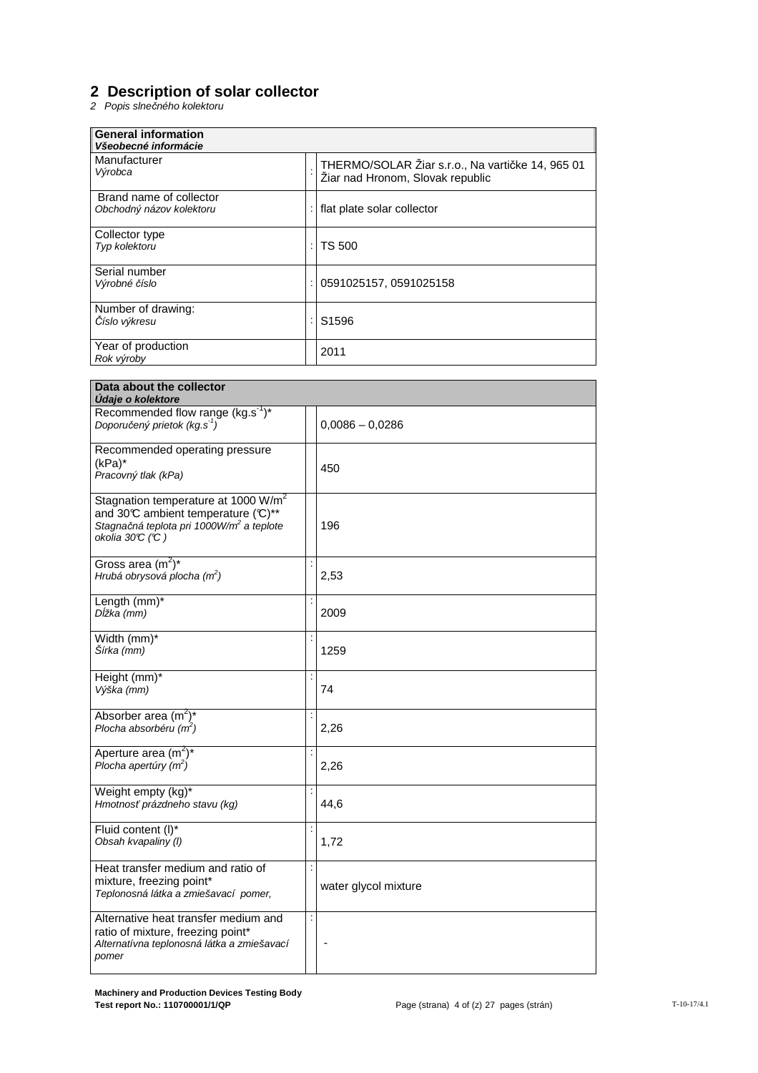# **2 Description of solar collector**

2 Popis slne*č*ného kolektoru

| <b>General information</b><br>Všeobecné informácie  |                                                                                      |
|-----------------------------------------------------|--------------------------------------------------------------------------------------|
| Manufacturer<br>Výrobca                             | THERMO/SOLAR Žiar s.r.o., Na vartičke 14, 965 01<br>Žiar nad Hronom, Slovak republic |
| Brand name of collector<br>Obchodný názov kolektoru | flat plate solar collector                                                           |
| Collector type<br>Typ kolektoru                     | TS 500                                                                               |
| Serial number<br>Výrobné číslo                      | 0591025157, 0591025158                                                               |
| Number of drawing:<br>Číslo výkresu                 | S <sub>1596</sub>                                                                    |
| Year of production<br>Rok výroby                    | 2011                                                                                 |

| Data about the collector<br>Udaje o kolektore                                                                                                                      |                |                      |
|--------------------------------------------------------------------------------------------------------------------------------------------------------------------|----------------|----------------------|
| Recommended flow range (kg.s <sup>-1</sup> )*<br>Doporučený prietok (kg.s <sup>-1</sup> )                                                                          |                | $0,0086 - 0,0286$    |
| Recommended operating pressure<br>$(kPa)^*$<br>Pracovný tlak (kPa)                                                                                                 |                | 450                  |
| Stagnation temperature at 1000 W/m <sup>2</sup><br>and 30°C ambient temperature (°C)**<br>Stagnačná teplota pri 1000W/m <sup>2</sup> a teplote<br>okolia 30°C (°C) |                | 196                  |
| Gross area $(m^2)^*$<br>Hrubá obrysová plocha $(m^2)$                                                                                                              |                | 2,53                 |
| Length (mm)*<br>Dĺžka (mm)                                                                                                                                         |                | 2009                 |
| Width (mm)*<br>Šírka (mm)                                                                                                                                          |                | 1259                 |
| Height (mm)*<br>Výška (mm)                                                                                                                                         |                | 74                   |
| Absorber area $(m^2)^*$<br>Plocha absorbéru $(m2)$                                                                                                                 |                | 2,26                 |
| Aperture area $(m^2)^*$<br>Plocha apertúry $(m2)$                                                                                                                  |                | 2,26                 |
| Weight empty (kg)*<br>Hmotnosť prázdneho stavu (kg)                                                                                                                |                | 44,6                 |
| Fluid content (I)*<br>Obsah kvapaliny (I)                                                                                                                          |                | 1,72                 |
| Heat transfer medium and ratio of<br>mixture, freezing point*<br>Teplonosná látka a zmiešavací pomer,                                                              |                | water glycol mixture |
| Alternative heat transfer medium and<br>ratio of mixture, freezing point*<br>Alternatívna teplonosná látka a zmiešavací<br>pomer                                   | $\ddot{\cdot}$ |                      |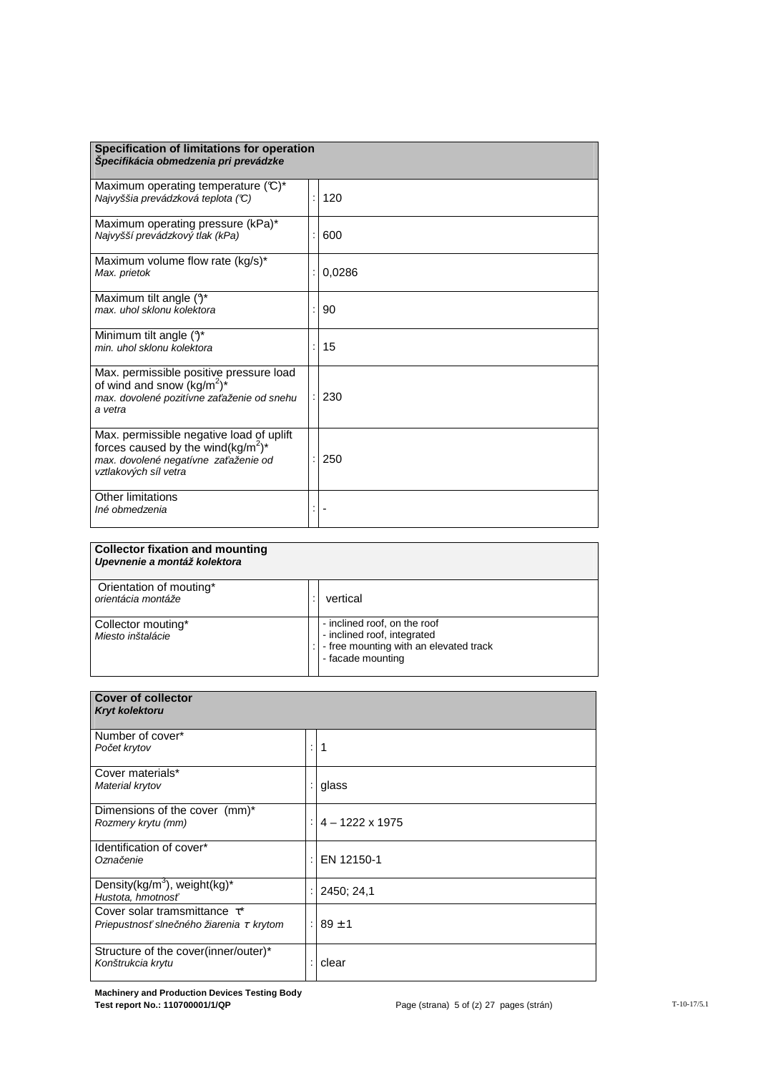| Specification of limitations for operation<br>Špecifikácia obmedzenia pri prevádzke                                                                                     |        |
|-------------------------------------------------------------------------------------------------------------------------------------------------------------------------|--------|
| Maximum operating temperature (°C)*<br>Najvyššia prevádzková teplota (°C)                                                                                               | 120    |
| Maximum operating pressure (kPa)*<br>Najvyšší prevádzkový tlak (kPa)                                                                                                    | 600    |
| Maximum volume flow rate (kg/s)*<br>Max. prietok                                                                                                                        | 0,0286 |
| Maximum tilt angle $(3^*)$<br>max. uhol sklonu kolektora                                                                                                                | 90     |
| Minimum tilt angle $(3^*)$<br>min, uhol sklonu kolektora                                                                                                                | 15     |
| Max. permissible positive pressure load<br>of wind and snow (kg/m <sup>2</sup> ) <sup>*</sup><br>max. dovolené pozitívne zaťaženie od snehu<br>a vetra                  | 230    |
| Max. permissible negative load of uplift<br>forces caused by the wind(kg/m <sup>2</sup> ) <sup>*</sup><br>max. dovolené negatívne zaťaženie od<br>vztlakových síl vetra | 250    |
| Other limitations<br>Iné obmedzenia                                                                                                                                     |        |

| <b>Collector fixation and mounting</b><br>Upevnenie a montáž kolektora |                                                                                                                            |
|------------------------------------------------------------------------|----------------------------------------------------------------------------------------------------------------------------|
| Orientation of mouting*<br>orientácia montáže                          | vertical                                                                                                                   |
| Collector mouting*<br>Miesto inštalácie                                | - inclined roof, on the roof<br>- inclined roof, integrated<br>- free mounting with an elevated track<br>- facade mounting |

| <b>Cover of collector</b><br>Kryt kolektoru                                         |   |                        |
|-------------------------------------------------------------------------------------|---|------------------------|
| Number of cover*<br>Počet krytov                                                    | ÷ | 1                      |
| Cover materials*<br>Material krytov                                                 |   | glass                  |
| Dimensions of the cover (mm)*<br>Rozmery krytu (mm)                                 |   | $4 - 1222 \times 1975$ |
| Identification of cover*<br>Označenie                                               |   | EN 12150-1             |
| Density(kg/m <sup>3</sup> ), weight(kg) <sup>*</sup><br>Hustota, hmotnosť           |   | 2450; 24,1             |
| Cover solar tramsmittance $\tau^*$<br>Priepustnosť slnečného žiarenia $\tau$ krytom |   | : $189 \pm 1$          |
| Structure of the cover(inner/outer)*<br>Konštrukcia krytu                           |   | clear                  |

**Machinery and Production Devices Testing Body Test report No.: 110700001/1/QP** Page (strana) 5 of (z) 27 pages (strán) T-10-17/5.1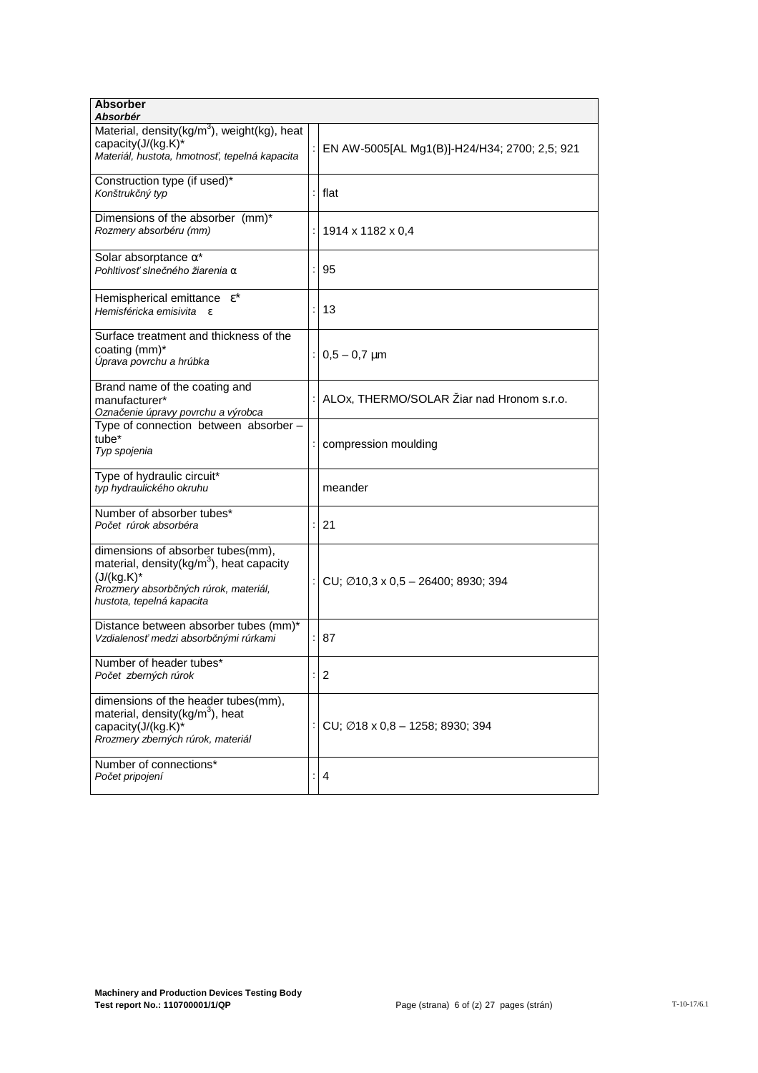| <b>Absorber</b><br>Absorbér                                                                                                                                                      |                                                 |
|----------------------------------------------------------------------------------------------------------------------------------------------------------------------------------|-------------------------------------------------|
| Material, density(kg/m <sup>3</sup> ), weight(kg), heat<br>capacity(J/(kg.K)*<br>Materiál, hustota, hmotnosť, tepelná kapacita                                                   | EN AW-5005[AL Mg1(B)]-H24/H34; 2700; 2,5; 921   |
| Construction type (if used)*<br>Konštrukčný typ                                                                                                                                  | flat                                            |
| Dimensions of the absorber (mm)*<br>Rozmery absorbéru (mm)                                                                                                                       | 1914 x 1182 x 0,4                               |
| Solar absorptance $\alpha^*$<br>Pohltivosť slnečného žiarenia α                                                                                                                  | 95                                              |
| Hemispherical emittance $\epsilon^*$<br>Hemisféricka emisivita<br>$\epsilon$                                                                                                     | 13                                              |
| Surface treatment and thickness of the<br>coating (mm)*<br>Úprava povrchu a hrúbka                                                                                               | $0,5 - 0,7$ µm                                  |
| Brand name of the coating and<br>manufacturer*<br>Označenie úpravy povrchu a výrobca                                                                                             | ALOx, THERMO/SOLAR Žiar nad Hronom s.r.o.       |
| Type of connection between absorber -<br>tube <sup>*</sup><br>Typ spojenia                                                                                                       | compression moulding                            |
| Type of hydraulic circuit*<br>typ hydraulického okruhu                                                                                                                           | meander                                         |
| Number of absorber tubes*<br>Počet rúrok absorbéra                                                                                                                               | 21                                              |
| dimensions of absorber tubes(mm),<br>material, density(kg/m <sup>3</sup> ), heat capacity<br>$(J/(kg.K)^*$<br>Rrozmery absorbčných rúrok, materiál,<br>hustota, tepelná kapacita | CU; $\varnothing$ 10,3 x 0,5 - 26400; 8930; 394 |
| Distance between absorber tubes (mm)*<br>Vzdialenosť medzi absorbčnými rúrkami                                                                                                   | 87                                              |
| Number of header tubes*<br>Počet zberných rúrok                                                                                                                                  | $\overline{c}$                                  |
| dimensions of the header tubes(mm),<br>material, density(kg/m <sup>3</sup> ), heat<br>capacity(J/(kg.K)*<br>Rrozmery zberných rúrok, materiál                                    | CU; Ø18 x 0,8 - 1258; 8930; 394                 |
| Number of connections*<br>Počet pripojení                                                                                                                                        | : 4                                             |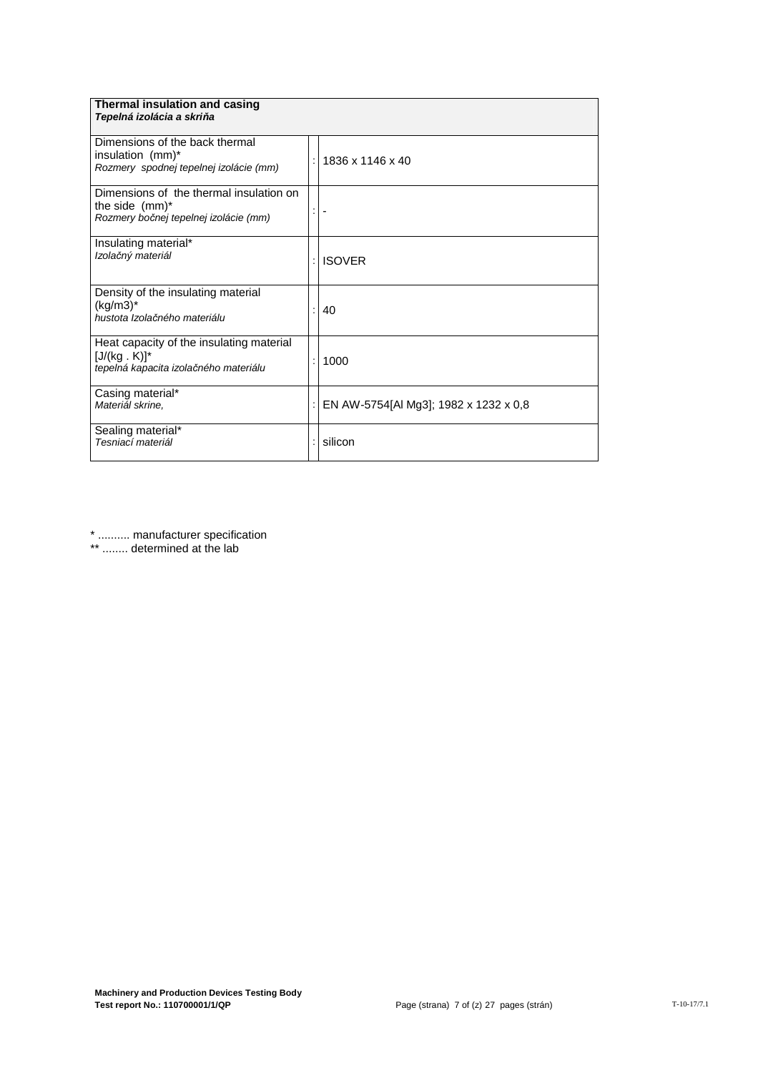| Thermal insulation and casing<br>Tepelná izolácia a skriňa                                                |                                       |
|-----------------------------------------------------------------------------------------------------------|---------------------------------------|
| Dimensions of the back thermal<br>insulation (mm)*<br>Rozmery spodnej tepelnej izolácie (mm)              | 1836 x 1146 x 40                      |
| Dimensions of the thermal insulation on<br>the side $(mm)^*$<br>Rozmery bočnej tepelnej izolácie (mm)     |                                       |
| Insulating material*<br>Izolačný materiál                                                                 | <b>ISOVER</b>                         |
| Density of the insulating material<br>$(kg/m3)^*$<br>hustota Izolačného materiálu                         | 40                                    |
| Heat capacity of the insulating material<br>$[J/(kg \cdot K)]^*$<br>tepelná kapacita izolačného materiálu | 1000                                  |
| Casing material*<br>Materiál skrine.                                                                      | EN AW-5754[Al Mg3]; 1982 x 1232 x 0,8 |
| Sealing material*<br>Tesniací materiál                                                                    | silicon                               |

\* .......... manufacturer specification

\*\* ........ determined at the lab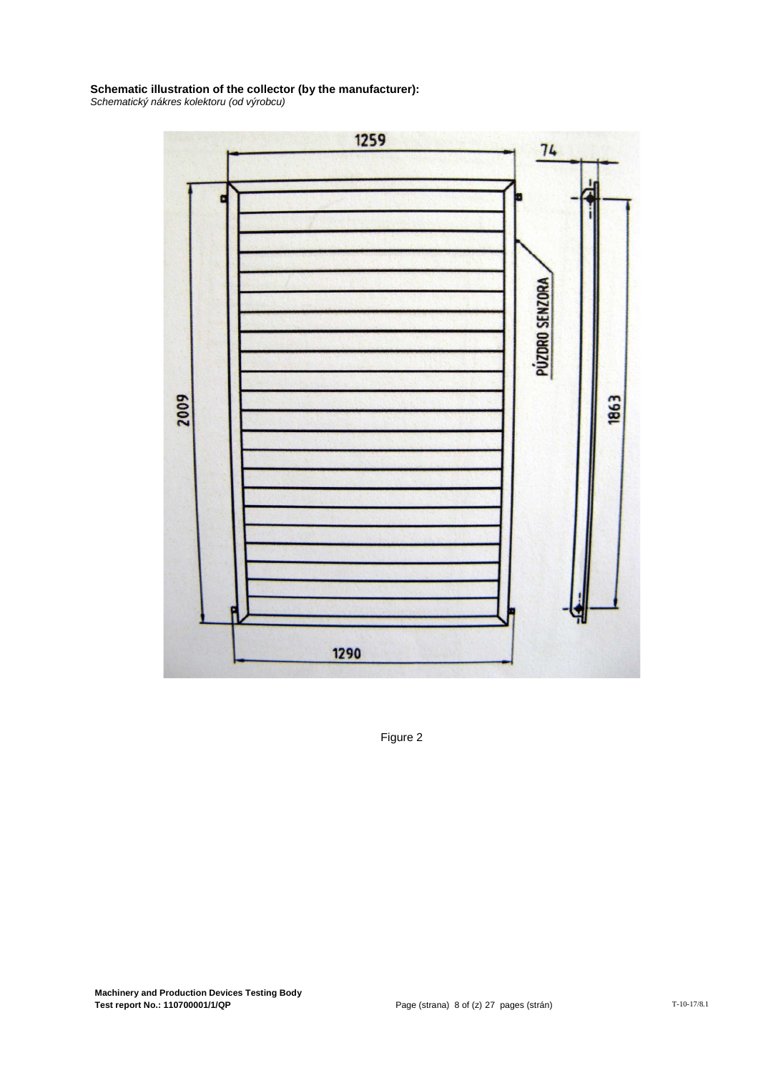### **Schematic illustration of the collector (by the manufacturer):**

Schematický nákres kolektoru (od výrobcu)



Figure 2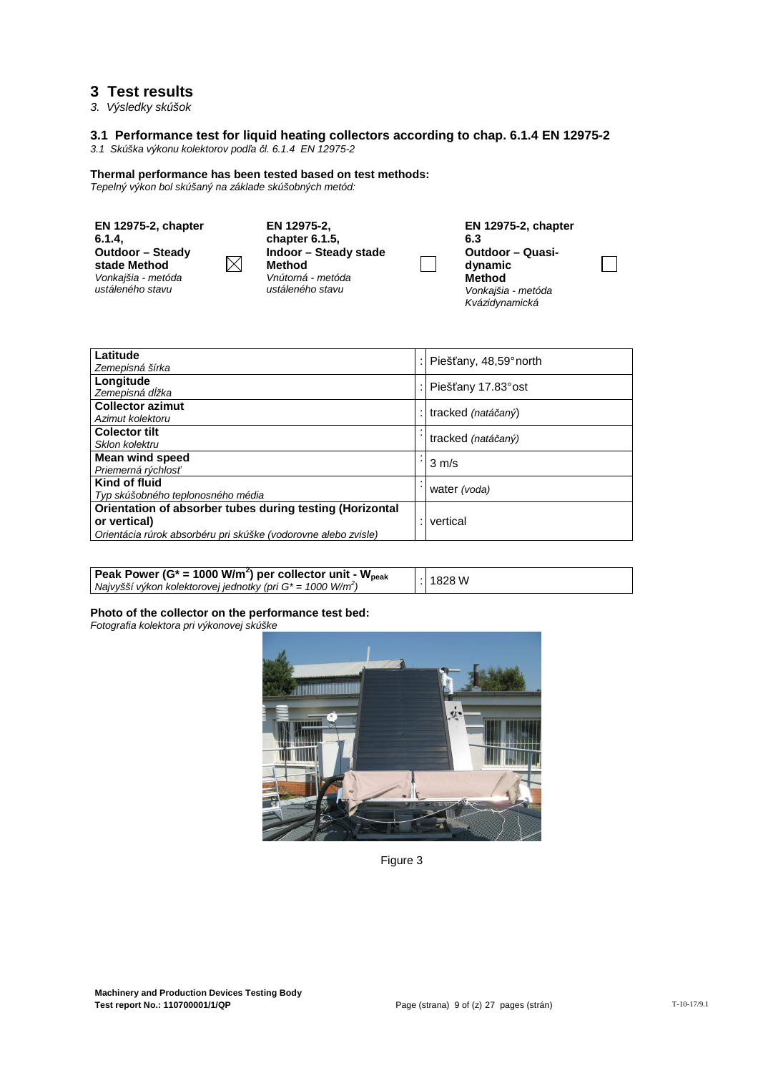## **3 Test results**

3. Výsledky skúšok

#### **3.1 Performance test for liquid heating collectors according to chap. 6.1.4 EN 12975-2**

3.1 Skúška výkonu kolektorov pod*ľ*a *č*l. 6.1.4 EN 12975-2

#### **Thermal performance has been tested based on test methods:**

Tepelný výkon bol skúšaný na základe skúšobných metód:

| <b>EN 12975-2, chapter</b><br>6.1.4.<br>Outdoor - Steady<br>stade Method<br>Vonkajšia - metóda<br>ustáleného stavu | EN 12975-2.<br>chapter 6.1.5.<br>Indoor - Steady stade<br>$\boxtimes$<br>Method<br>Vnútorná - metóda<br>ustáleného stavu | <b>EN 12975-2, chapter</b><br>6.3<br><b>Outdoor - Quasi-</b><br>dynamic<br>Method<br>Vonkajšia - metóda<br>Kvázidynamická |
|--------------------------------------------------------------------------------------------------------------------|--------------------------------------------------------------------------------------------------------------------------|---------------------------------------------------------------------------------------------------------------------------|
|--------------------------------------------------------------------------------------------------------------------|--------------------------------------------------------------------------------------------------------------------------|---------------------------------------------------------------------------------------------------------------------------|

| Latitude                                                       | Piešťany, 48,59° north |
|----------------------------------------------------------------|------------------------|
| Zemepisná šírka                                                |                        |
| Longitude                                                      | Piešťany 17.83° ost    |
| Zemepisná dĺžka                                                |                        |
| <b>Collector azimut</b>                                        | tracked (natáčaný)     |
| Azimut kolektoru                                               |                        |
| <b>Colector tilt</b>                                           | tracked (natáčaný)     |
| Sklon kolektru                                                 |                        |
| <b>Mean wind speed</b>                                         | $3 \text{ m/s}$        |
| Priemerná rýchlosť                                             |                        |
| Kind of fluid                                                  |                        |
| Typ skúšobného teplonosného média                              | water (voda)           |
| Orientation of absorber tubes during testing (Horizontal       |                        |
| or vertical)                                                   | vertical               |
| Orientácia rúrok absorbéru pri skúške (vodorovne alebo zvisle) |                        |

| Peak Power (G* = 1000 W/m <sup>2</sup> ) per collector unit - W <sub>peak</sub> |  | : 1828 W |
|---------------------------------------------------------------------------------|--|----------|
| Najvyšší výkon kolektorovej jednotky (pri $G^*$ = 1000 W/m <sup>2</sup> )       |  |          |

#### **Photo of the collector on the performance test bed:**

Fotografia kolektora pri výkonovej skúške



Figure 3

 $\mathcal{L}_{\mathcal{A}}$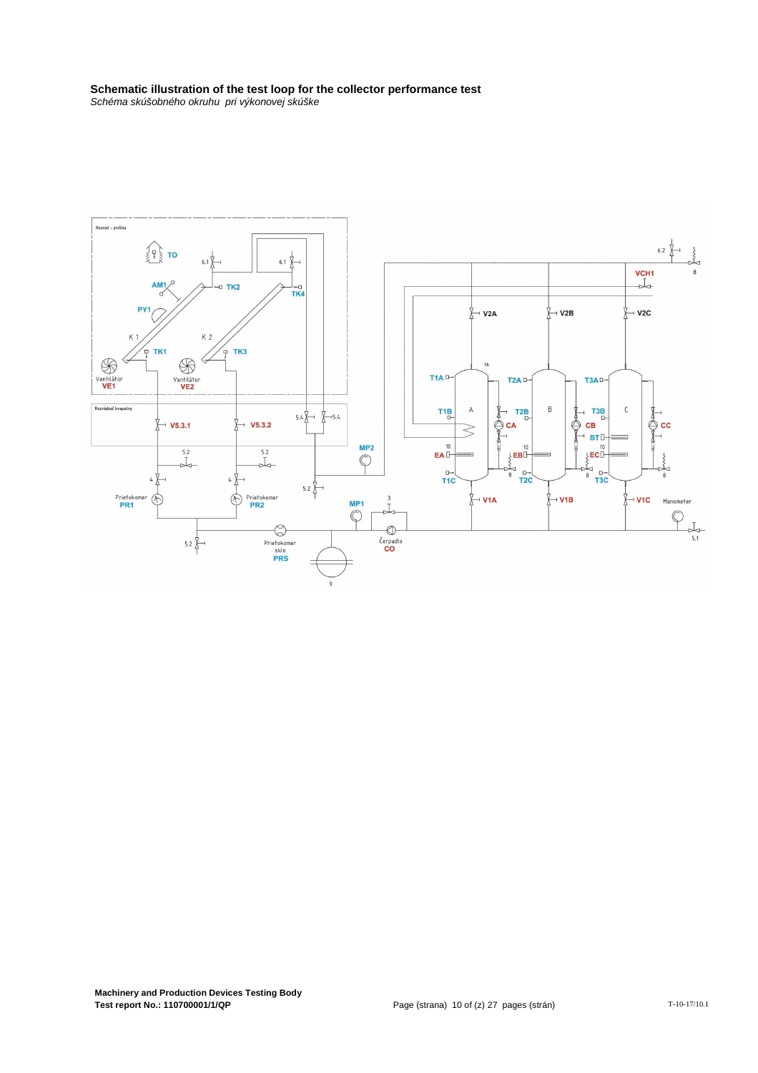# **Schematic illustration of the test loop for the collector performance test**

Schéma skúšobného okruhu pri výkonovej skúške

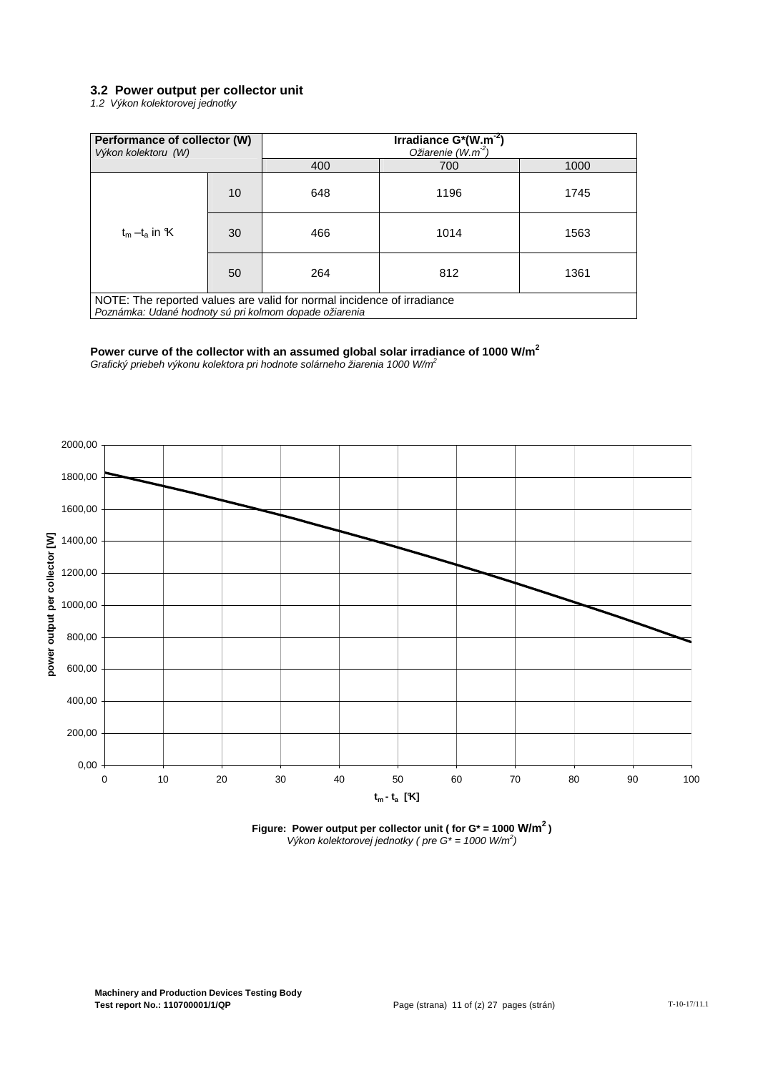#### **3.2 Power output per collector unit**

1.2 Výkon kolektorovej jednotky

| Performance of collector (W)<br>Výkon kolektoru (W)                                                                              |    |     | Irradiance $G^*(W.m^{-2})$<br>Ožiarenie $(W.m^2)$ |      |
|----------------------------------------------------------------------------------------------------------------------------------|----|-----|---------------------------------------------------|------|
|                                                                                                                                  |    | 400 | 700                                               | 1000 |
|                                                                                                                                  | 10 | 648 | 1196                                              | 1745 |
| $t_m - t_a$ in $K$                                                                                                               | 30 | 466 | 1014                                              | 1563 |
|                                                                                                                                  | 50 | 264 | 812                                               | 1361 |
| NOTE: The reported values are valid for normal incidence of irradiance<br>Poznámka: Udané hodnoty sú pri kolmom dopade ožiarenia |    |     |                                                   |      |

#### **Power curve of the collector with an assumed global solar irradiance of 1000 W/m<sup>2</sup>**

Grafický priebeh výkonu kolektora pri hodnote solárneho žiarenia 1000 W/m<sup>2</sup>



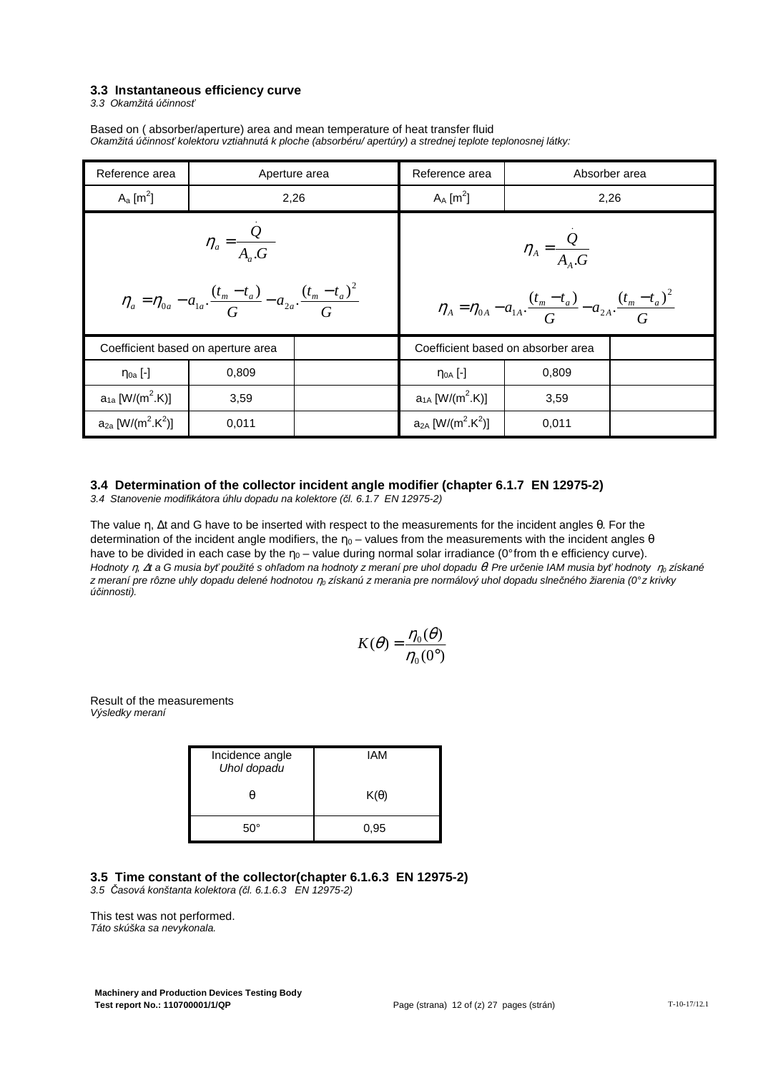#### **3.3 Instantaneous efficiency curve**

3.3 Okamžitá ú*č*innos*ť*

Based on ( absorber/aperture) area and mean temperature of heat transfer fluid Okamžitá ú*č*innos*ť* kolektoru vztiahnutá k ploche (absorbéru/ apertúry) a strednej teplote teplonosnej látky:

| Reference area                                                                                   |                                    | Aperture area | Reference area                                 |                                                                                                  | Absorber area |  |
|--------------------------------------------------------------------------------------------------|------------------------------------|---------------|------------------------------------------------|--------------------------------------------------------------------------------------------------|---------------|--|
| $A_a$ [m <sup>2</sup> ]                                                                          | 2,26                               |               | $A_A$ [m <sup>2</sup> ]                        | 2,26                                                                                             |               |  |
| $\eta_a = \frac{Q}{A_{a}.G}$                                                                     |                                    |               | $\eta_A = \frac{Q}{A \cdot G}$                 |                                                                                                  |               |  |
| $\eta_a = \eta_{0a} - a_{1a} \cdot \frac{(t_m - t_a)}{C} - a_{2a} \cdot \frac{(t_m - t_a)^2}{C}$ |                                    |               |                                                | $\eta_A = \eta_{0A} - a_{1A} \cdot \frac{(t_m - t_a)}{G} - a_{2A} \cdot \frac{(t_m - t_a)^2}{G}$ |               |  |
|                                                                                                  | Coefficient based on aperture area |               | Coefficient based on absorber area             |                                                                                                  |               |  |
| $\eta_{0a}$ [-]                                                                                  | 0,809                              |               | $\eta_{0A}$ [-]                                | 0,809                                                                                            |               |  |
| $a_{1a}$ [W/(m <sup>2</sup> .K)]                                                                 | 3.59                               |               | $a_{1A}$ [W/(m <sup>2</sup> .K)]               | 3,59                                                                                             |               |  |
| $a_{2a}$ [W/(m <sup>2</sup> .K <sup>2</sup> )]                                                   | 0,011                              |               | $a_{2A}$ [W/(m <sup>2</sup> .K <sup>2</sup> )] | 0,011                                                                                            |               |  |

#### **3.4 Determination of the collector incident angle modifier (chapter 6.1.7 EN 12975-2)**

3.4 Stanovenie modifikátora úhlu dopadu na kolektore (*č*l. 6.1.7 EN 12975-2)

The value η, ∆t and G have to be inserted with respect to the measurements for the incident angles θ. For the determination of the incident angle modifiers, the  $\eta_0$  – values from the measurements with the incident angles  $\theta$ have to be divided in each case by the  $\eta_0$  – value during normal solar irradiance (0° from the efficiency curve). Hodnoty η, ∆t a G musia by*ť* použité s oh*ľ*adom na hodnoty z meraní pre uhol dopadu θ. Pre ur*č*enie IAM musia by*ť* hodnoty η0 získané z meraní pre rôzne uhly dopadu delené hodnotou η<sub>ο</sub> získanú z merania pre normálový uhol dopadu slnečného žiarenia (0° z krivky ú*č*innosti).

$$
K(\theta) = \frac{\eta_0(\theta)}{\eta_0(0^\circ)}
$$

Result of the measurements Výsledky meraní

| Incidence angle<br>Uhol dopadu | IAM         |
|--------------------------------|-------------|
| θ                              | $K(\theta)$ |
| $50^\circ$                     | 0,95        |

#### **3.5 Time constant of the collector(chapter 6.1.6.3 EN 12975-2)**

3.5 *Č*asová konštanta kolektora (*č*l. 6.1.6.3 EN 12975-2)

This test was not performed. Táto skúška sa nevykonala.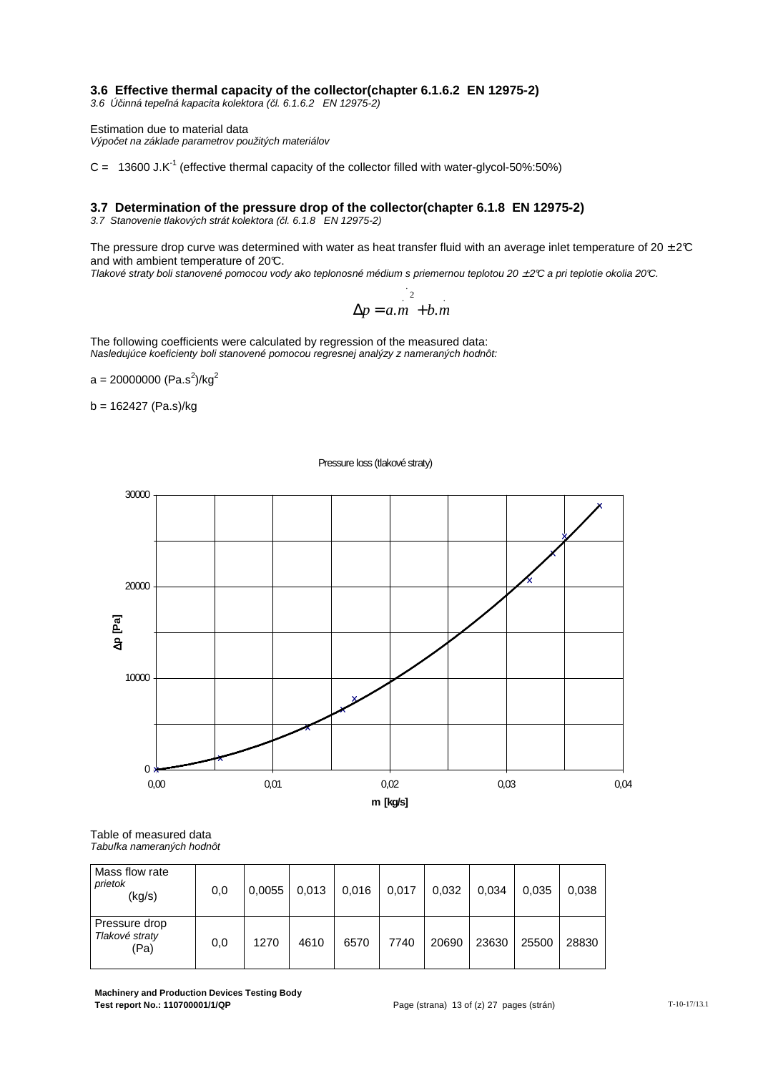#### **3.6 Effective thermal capacity of the collector(chapter 6.1.6.2 EN 12975-2)**

3.6 Ú*č*inná tepe*ľ*ná kapacita kolektora (*č*l. 6.1.6.2 EN 12975-2)

Estimation due to material data Výpo*č*et na základe parametrov použitých materiálov

 $C = 13600$  J.K<sup>-1</sup> (effective thermal capacity of the collector filled with water-glycol-50%:50%)

#### **3.7 Determination of the pressure drop of the collector(chapter 6.1.8 EN 12975-2)**

3.7 Stanovenie tlakových strát kolektora (*č*l. 6.1.8 EN 12975-2)

The pressure drop curve was determined with water as heat transfer fluid with an average inlet temperature of  $20 \pm 2\degree$ C and with ambient temperature of 20°C.

Tlakové straty boli stanovené pomocou vody ako teplonosné médium s priemernou teplotou 20 ± 2°C a pri teplotie okolia 20°C.

$$
\Delta p = a.m^{2}
$$
  

$$
\Delta p = a.m + b.m
$$

The following coefficients were calculated by regression of the measured data: Nasledujúce koeficienty boli stanovené pomocou regresnej analýzy z nameraných hodnôt:

a = 20000000 (Pa.s $^2$ )/kg $^2$ 

 $b = 162427$  (Pa.s)/kg

#### Pressure loss (tlakové straty)



Table of measured data Tabu*ľ*ka nameraných hodnôt

| Mass flow rate<br>prietok<br>(kg/s)     | 0,0 | 0,0055 | 0.013 | 0,016 | 0,017 | 0,032 | 0,034 | 0,035 | 0,038 |
|-----------------------------------------|-----|--------|-------|-------|-------|-------|-------|-------|-------|
| Pressure drop<br>Tlakové straty<br>(Pa) | 0,0 | 1270   | 4610  | 6570  | 7740  | 20690 | 23630 | 25500 | 28830 |

**Machinery and Production Devices Testing Body Test report No.: 110700001/1/QP Page (strana) 13 of (z) 27 pages (strán)** T-10-17/13.1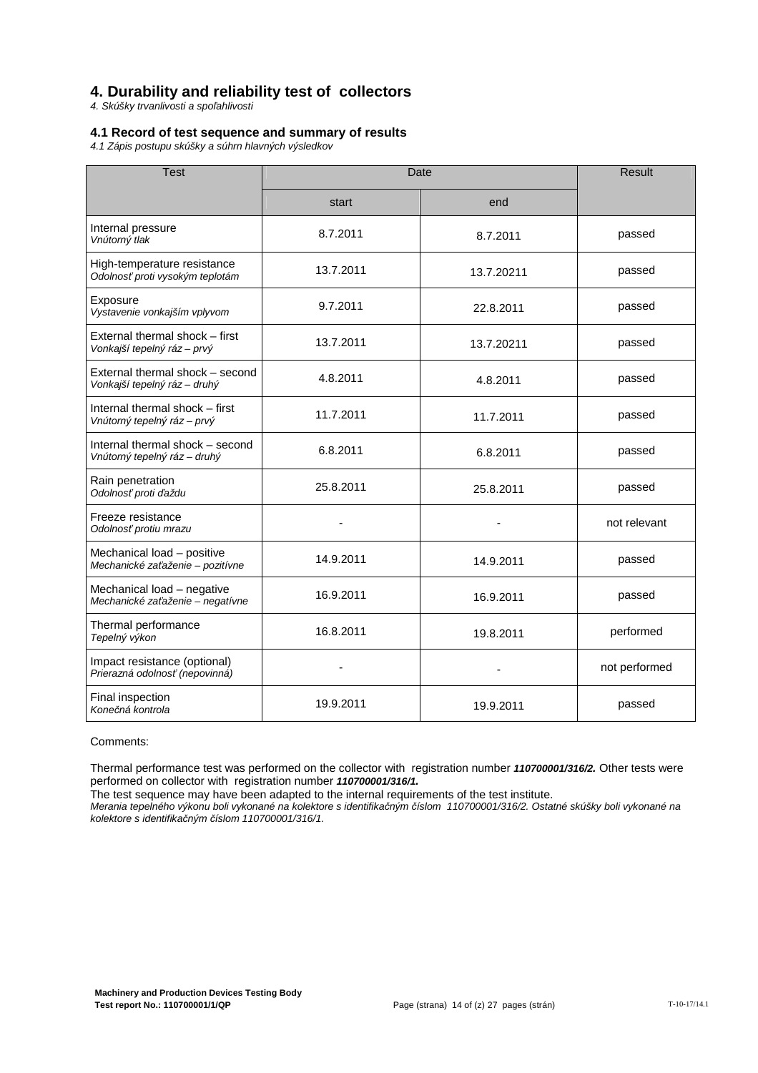## **4. Durability and reliability test of collectors**

4. Skúšky trvanlivosti a spo*ľ*ahlivosti

#### **4.1 Record of test sequence and summary of results**

4.1 Zápis postupu skúšky a súhrn hlavných výsledkov

| <b>Test</b>                                                     | Date      | <b>Result</b> |               |
|-----------------------------------------------------------------|-----------|---------------|---------------|
|                                                                 | start     | end           |               |
| Internal pressure<br>Vnútorný tlak                              | 8.7.2011  | 8.7.2011      | passed        |
| High-temperature resistance<br>Odolnosť proti vysokým teplotám  | 13.7.2011 | 13.7.20211    | passed        |
| Exposure<br>Vystavenie vonkajším vplyvom                        | 9.7.2011  | 22.8.2011     | passed        |
| External thermal shock – first<br>Vonkajší tepelný ráz - prvý   | 13.7.2011 | 13.7.20211    | passed        |
| External thermal shock - second<br>Vonkajší tepelný ráz - druhý | 4.8.2011  | 4.8.2011      | passed        |
| Internal thermal shock - first<br>Vnútorný tepelný ráz – prvý   | 11.7.2011 | 11.7.2011     | passed        |
| Internal thermal shock – second<br>Vnútorný tepelný ráz - druhý | 6.8.2011  | 6.8.2011      | passed        |
| Rain penetration<br>Odolnosť proti ďaždu                        | 25.8.2011 | 25.8.2011     | passed        |
| Freeze resistance<br>Odolnosť protiu mrazu                      |           |               | not relevant  |
| Mechanical load - positive<br>Mechanické zaťaženie – pozitívne  | 14.9.2011 | 14.9.2011     | passed        |
| Mechanical load - negative<br>Mechanické zaťaženie – negatívne  | 16.9.2011 | 16.9.2011     | passed        |
| Thermal performance<br>Tepelný výkon                            | 16.8.2011 | 19.8.2011     | performed     |
| Impact resistance (optional)<br>Prierazná odolnosť (nepovinná)  |           |               | not performed |
| Final inspection<br>Konečná kontrola                            | 19.9.2011 | 19.9.2011     | passed        |

#### Comments:

Thermal performance test was performed on the collector with registration number **110700001/316/2.** Other tests were performed on collector with registration number **110700001/316/1.**

The test sequence may have been adapted to the internal requirements of the test institute.

Merania tepelného výkonu boli vykonané na kolektore s identifika*č*ným *č*íslom 110700001/316/2. Ostatné skúšky boli vykonané na kolektore s identifika*č*ným *č*íslom 110700001/316/1.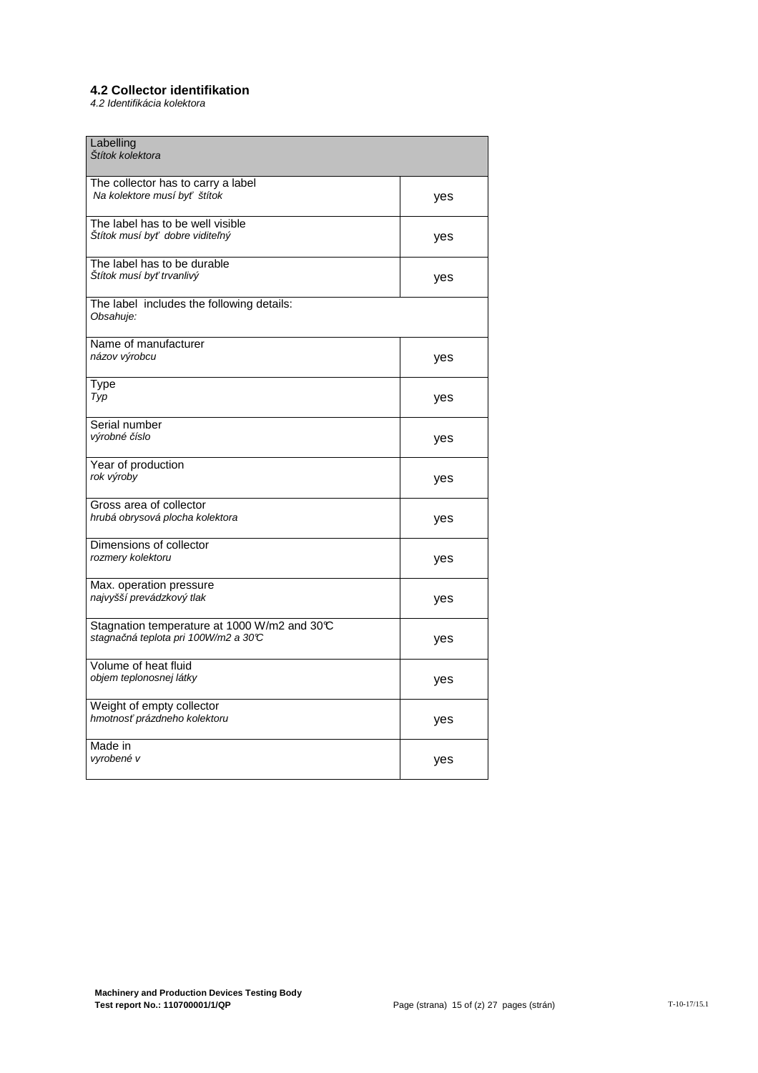#### **4.2 Collector identifikation**

4.2 Identifikácia kolektora

| Labelling<br>Štítok kolektora                          |     |
|--------------------------------------------------------|-----|
| The collector has to carry a label                     |     |
|                                                        |     |
| Na kolektore musí byť štítok                           | yes |
|                                                        |     |
|                                                        |     |
| The label has to be well visible                       |     |
|                                                        |     |
| Štítok musí byť dobre viditeľný                        | yes |
|                                                        |     |
|                                                        |     |
| The label has to be durable                            |     |
|                                                        |     |
| Štítok musí byť trvanlivý                              | yes |
|                                                        |     |
|                                                        |     |
|                                                        |     |
| The label includes the following details:              |     |
| Obsahuje:                                              |     |
|                                                        |     |
|                                                        |     |
| Name of manufacturer                                   |     |
|                                                        |     |
| názov výrobcu                                          | yes |
|                                                        |     |
|                                                        |     |
|                                                        |     |
| Type                                                   |     |
| Typ                                                    | yes |
|                                                        |     |
|                                                        |     |
| Serial number                                          |     |
|                                                        |     |
| výrobné číslo                                          | yes |
|                                                        |     |
|                                                        |     |
| Year of production                                     |     |
|                                                        |     |
| rok výroby                                             | yes |
|                                                        |     |
|                                                        |     |
| Gross area of collector                                |     |
|                                                        |     |
| hrubá obrysová plocha kolektora                        | yes |
|                                                        |     |
|                                                        |     |
| Dimensions of collector                                |     |
|                                                        |     |
| rozmery kolektoru                                      | yes |
|                                                        |     |
|                                                        |     |
| Max. operation pressure                                |     |
|                                                        |     |
| najvyšší prevádzkový tlak                              | yes |
|                                                        |     |
|                                                        |     |
| Stagnation temperature at 1000 W/m2 and 30 $\mathbb C$ |     |
|                                                        |     |
| stagnačná teplota pri 100W/m2 a 30℃                    | yes |
|                                                        |     |
|                                                        |     |
| Volume of heat fluid                                   |     |
|                                                        |     |
| objem teplonosnej látky                                | yes |
|                                                        |     |
|                                                        |     |
| Weight of empty collector                              |     |
| hmotnosť prázdneho kolektoru                           |     |
|                                                        | yes |
|                                                        |     |
|                                                        |     |
| Made in                                                |     |
| vyrobené v                                             |     |
|                                                        | yes |
|                                                        |     |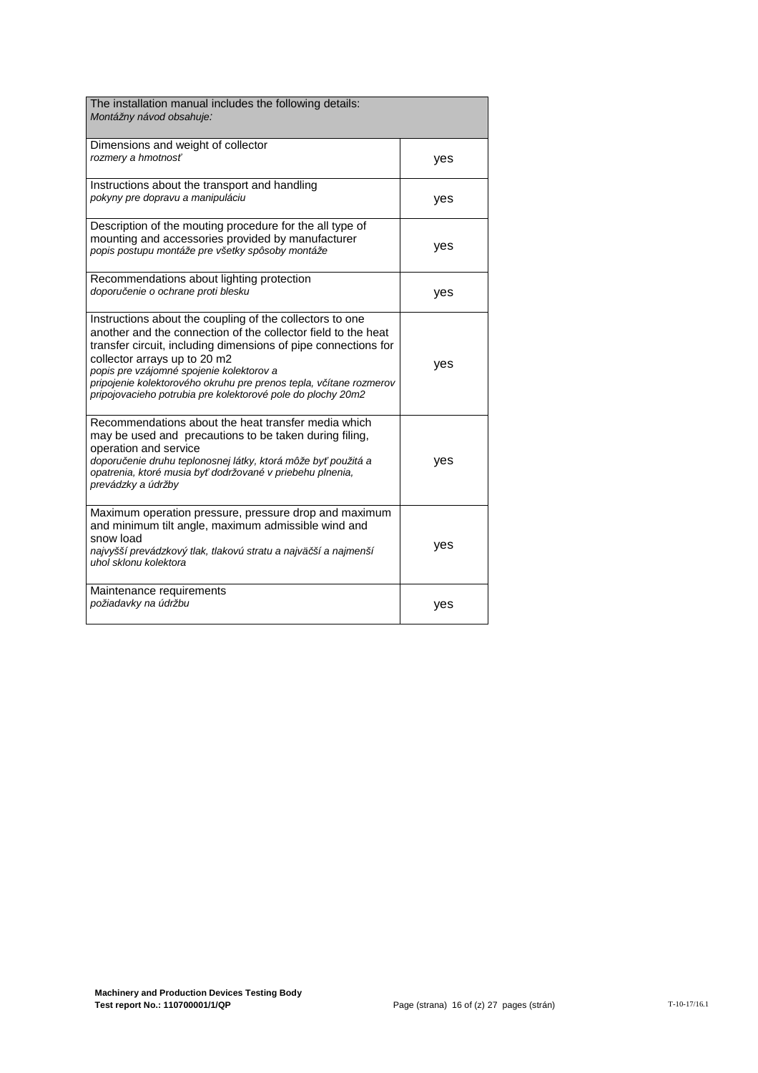| The installation manual includes the following details:<br>Montážny návod obsahuje:                                                                                                                                                                                                                                                                                                                          |     |
|--------------------------------------------------------------------------------------------------------------------------------------------------------------------------------------------------------------------------------------------------------------------------------------------------------------------------------------------------------------------------------------------------------------|-----|
| Dimensions and weight of collector<br>rozmery a hmotnosť                                                                                                                                                                                                                                                                                                                                                     | yes |
| Instructions about the transport and handling<br>pokyny pre dopravu a manipuláciu                                                                                                                                                                                                                                                                                                                            | yes |
| Description of the mouting procedure for the all type of<br>mounting and accessories provided by manufacturer<br>popis postupu montáže pre všetky spôsoby montáže                                                                                                                                                                                                                                            | yes |
| Recommendations about lighting protection<br>doporučenie o ochrane proti blesku                                                                                                                                                                                                                                                                                                                              | yes |
| Instructions about the coupling of the collectors to one<br>another and the connection of the collector field to the heat<br>transfer circuit, including dimensions of pipe connections for<br>collector arrays up to 20 m2<br>popis pre vzájomné spojenie kolektorov a<br>pripojenie kolektorového okruhu pre prenos tepla, včítane rozmerov<br>pripojovacieho potrubia pre kolektorové pole do plochy 20m2 | yes |
| Recommendations about the heat transfer media which<br>may be used and precautions to be taken during filing,<br>operation and service<br>doporučenie druhu teplonosnej látky, ktorá môže byť použitá a<br>opatrenia, ktoré musia byť dodržované v priebehu plnenia,<br>prevádzky a údržby                                                                                                                   | yes |
| Maximum operation pressure, pressure drop and maximum<br>and minimum tilt angle, maximum admissible wind and<br>snow load<br>najvyšší prevádzkový tlak, tlakovú stratu a najväčší a najmenší<br>uhol sklonu kolektora                                                                                                                                                                                        | yes |
| Maintenance requirements<br>požiadavky na údržbu                                                                                                                                                                                                                                                                                                                                                             | yes |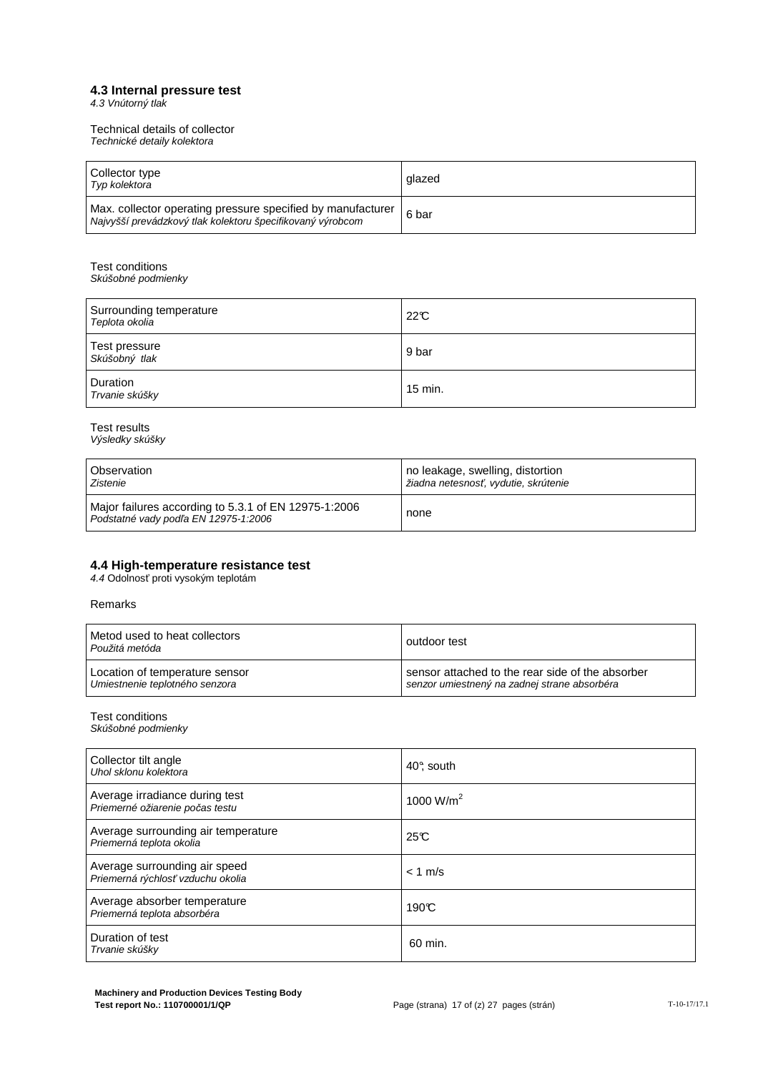#### **4.3 Internal pressure test**

4.3 Vnútorný tlak

Technical details of collector Technické detaily kolektora

| l Collector type<br>Typ kolektora                                                                                         | glazed |
|---------------------------------------------------------------------------------------------------------------------------|--------|
| Max. collector operating pressure specified by manufacturer<br>Najvyšší prevádzkový tlak kolektoru špecifikovaný výrobcom | 6 bar  |

Test conditions Skúšobné podmienky

| Surrounding temperature<br>Teplota okolia | 22C     |
|-------------------------------------------|---------|
| Test pressure<br>Skúšobný tlak            | 9 bar   |
| Duration<br>Trvanie skúšky                | 15 min. |

Test results Výsledky skúšky

| <b>Observation</b>                                                                           | no leakage, swelling, distortion     |
|----------------------------------------------------------------------------------------------|--------------------------------------|
| Zistenie                                                                                     | žiadna netesnosť, vydutie, skrútenie |
| Major failures according to 5.3.1 of EN 12975-1:2006<br>Podstatné vady podľa EN 12975-1:2006 | none                                 |

#### **4.4 High-temperature resistance test**

4.4 Odolnosť proti vysokým teplotám

Remarks

| Metod used to heat collectors<br>Použitá metóda | outdoor test                                     |
|-------------------------------------------------|--------------------------------------------------|
| Location of temperature sensor                  | sensor attached to the rear side of the absorber |
| Umiestnenie teplotného senzora                  | senzor umiestnený na zadnej strane absorbéra     |

Test conditions

Skúšobné podmienky

| Collector tilt angle<br>Uhol sklonu kolektora                      | 40°, south   |
|--------------------------------------------------------------------|--------------|
| Average irradiance during test<br>Priemerné ožiarenie počas testu  | 1000 $W/m^2$ |
| Average surrounding air temperature<br>Priemerná teplota okolia    | 25C          |
| Average surrounding air speed<br>Priemerná rýchlosť vzduchu okolia | $< 1$ m/s    |
| Average absorber temperature<br>Priemerná teplota absorbéra        | 190C         |
| Duration of test<br>Trvanie skúšky                                 | 60 min.      |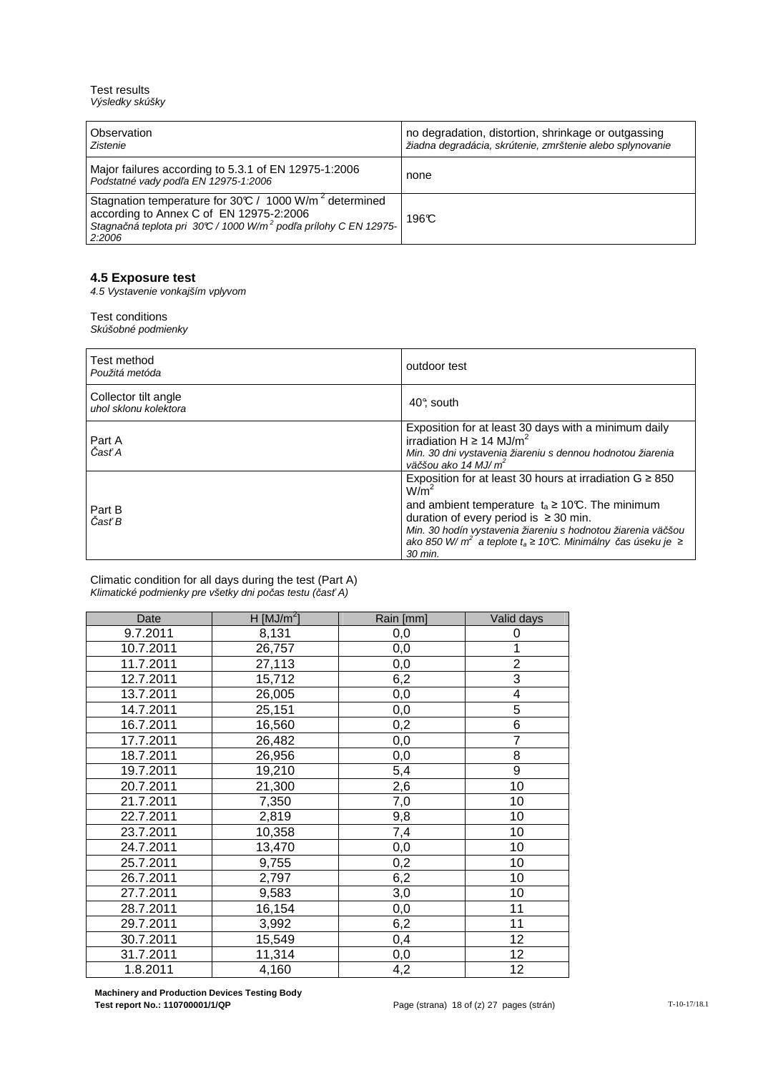Test results Výsledky skúšky

| Observation<br>Zistenie                                                                                                                                                                                 | no degradation, distortion, shrinkage or outgassing<br>žiadna degradácia, skrútenie, zmrštenie alebo splynovanie |
|---------------------------------------------------------------------------------------------------------------------------------------------------------------------------------------------------------|------------------------------------------------------------------------------------------------------------------|
| Major failures according to 5.3.1 of EN 12975-1:2006<br>Podstatné vady podľa EN 12975-1:2006                                                                                                            | none                                                                                                             |
| Stagnation temperature for 30°C / 1000 W/m <sup>2</sup> determined<br>according to Annex C of EN 12975-2:2006<br>Stagnačná teplota pri 30°C / 1000 W/m <sup>2</sup> podľa prílohy C EN 12975-<br>2:2006 | 196°C                                                                                                            |

#### **4.5 Exposure test**

4.5 Vystavenie vonkajším vplyvom

#### Test conditions

Skúšobné podmienky

| Test method<br>Použitá metóda                 | outdoor test                                                                                                                                                                                                                                                                                                                                                  |
|-----------------------------------------------|---------------------------------------------------------------------------------------------------------------------------------------------------------------------------------------------------------------------------------------------------------------------------------------------------------------------------------------------------------------|
| Collector tilt angle<br>uhol sklonu kolektora | 40° south                                                                                                                                                                                                                                                                                                                                                     |
| Part A<br>Časť A                              | Exposition for at least 30 days with a minimum daily<br>irradiation H $\geq$ 14 MJ/m <sup>2</sup><br>Min. 30 dni vystavenia žiareniu s dennou hodnotou žiarenia<br>väčšou ako 14 MJ/ $m^2$                                                                                                                                                                    |
| Part B<br>Časť B                              | Exposition for at least 30 hours at irradiation $G \ge 850$<br>W/m <sup>2</sup><br>and ambient temperature $t_a \geq 10^{\circ}C$ . The minimum<br>duration of every period is $\geq 30$ min.<br>Min. 30 hodín vystavenia žiareniu s hodnotou žiarenia väčšou<br>ako 850 W/m <sup>2</sup> a teplote t <sub>a</sub> ≥ 10℃. Minimálny čas úseku je ≥<br>30 min. |

Climatic condition for all days during the test (Part A) Klimatické podmienky pre všetky dni po*č*as testu (*č*as*ť* A)

| Date      | H $[MJ/m2]$ | Rain [mm]        | Valid days              |
|-----------|-------------|------------------|-------------------------|
| 9.7.2011  | 8,131       | 0,0              | 0                       |
| 10.7.2011 | 26,757      | 0,0              | 1                       |
| 11.7.2011 | 27,113      | 0,0              | $\overline{c}$          |
| 12.7.2011 | 15,712      | 6,2              | $\overline{3}$          |
| 13.7.2011 | 26,005      | 0,0              | $\overline{\mathbf{4}}$ |
| 14.7.2011 | 25,151      | 0,0              | $\overline{5}$          |
| 16.7.2011 | 16,560      | 0,2              | $\overline{6}$          |
| 17.7.2011 | 26,482      | 0,0              | $\overline{7}$          |
| 18.7.2011 | 26,956      | 0,0              | 8                       |
| 19.7.2011 | 19,210      | 5,4              | $\overline{9}$          |
| 20.7.2011 | 21,300      | 2,6              | 10                      |
| 21.7.2011 | 7,350       | $\overline{7,0}$ | 10                      |
| 22.7.2011 | 2,819       | 9,8              | 10                      |
| 23.7.2011 | 10,358      | 7,4              | 10                      |
| 24.7.2011 | 13,470      | 0,0              | 10                      |
| 25.7.2011 | 9,755       | 0,2              | 10                      |
| 26.7.2011 | 2,797       | 6,2              | 10                      |
| 27.7.2011 | 9,583       | 3,0              | 10                      |
| 28.7.2011 | 16,154      | 0,0              | 11                      |
| 29.7.2011 | 3,992       | 6,2              | $\overline{11}$         |
| 30.7.2011 | 15,549      | 0,4              | 12                      |
| 31.7.2011 | 11,314      | 0,0              | 12                      |
| 1.8.2011  | 4,160       | 4,2              | 12                      |

**Machinery and Production Devices Testing Body**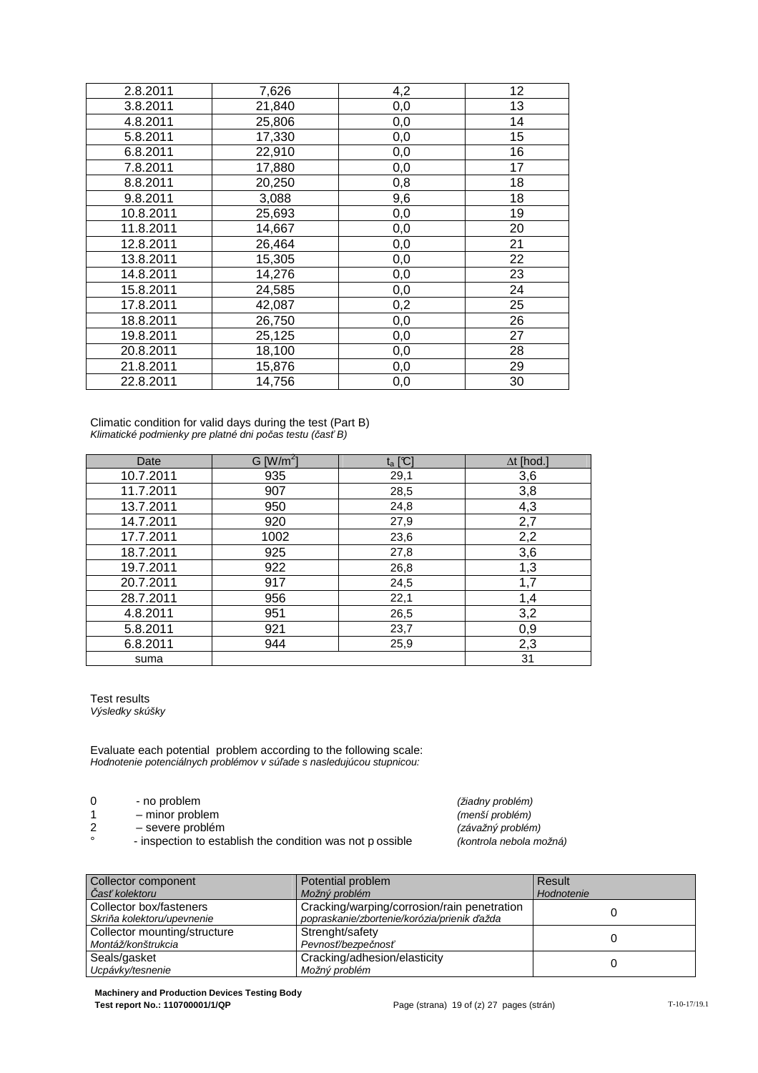| 2.8.2011  | 7,626  | 4,2 | 12 |
|-----------|--------|-----|----|
| 3.8.2011  | 21,840 | 0,0 | 13 |
| 4.8.2011  | 25,806 | 0,0 | 14 |
| 5.8.2011  | 17,330 | 0,0 | 15 |
| 6.8.2011  | 22,910 | 0,0 | 16 |
| 7.8.2011  | 17,880 | 0,0 | 17 |
| 8.8.2011  | 20,250 | 0,8 | 18 |
| 9.8.2011  | 3,088  | 9,6 | 18 |
| 10.8.2011 | 25,693 | 0,0 | 19 |
| 11.8.2011 | 14,667 | 0,0 | 20 |
| 12.8.2011 | 26,464 | 0,0 | 21 |
| 13.8.2011 | 15,305 | 0,0 | 22 |
| 14.8.2011 | 14,276 | 0,0 | 23 |
| 15.8.2011 | 24,585 | 0,0 | 24 |
| 17.8.2011 | 42,087 | 0,2 | 25 |
| 18.8.2011 | 26,750 | 0,0 | 26 |
| 19.8.2011 | 25,125 | 0,0 | 27 |
| 20.8.2011 | 18,100 | 0,0 | 28 |
| 21.8.2011 | 15,876 | 0,0 | 29 |
| 22.8.2011 | 14,756 | 0,0 | 30 |

Climatic condition for valid days during the test (Part B) Klimatické podmienky pre platné dni po*č*as testu (*č*as*ť* B)

| Date      | $G$ [W/m <sup>2</sup> ] | $t_a$ [C] | $\Delta t$ [hod.] |
|-----------|-------------------------|-----------|-------------------|
| 10.7.2011 | 935                     | 29,1      | 3,6               |
| 11.7.2011 | 907                     | 28,5      | 3,8               |
| 13.7.2011 | 950                     | 24,8      | 4,3               |
| 14.7.2011 | 920                     | 27,9      | 2,7               |
| 17.7.2011 | 1002                    | 23,6      | 2,2               |
| 18.7.2011 | 925                     | 27,8      | 3,6               |
| 19.7.2011 | 922                     | 26,8      | 1,3               |
| 20.7.2011 | 917                     | 24,5      | 1,7               |
| 28.7.2011 | 956                     | 22,1      | 1,4               |
| 4.8.2011  | 951                     | 26,5      | 3,2               |
| 5.8.2011  | 921                     | 23,7      | 0,9               |
| 6.8.2011  | 944                     | 25,9      | 2,3               |
| suma      |                         |           | 31                |

Test results Výsledky skúšky

Evaluate each potential problem according to the following scale: Hodnotenie potenciálnych problémov v sú*ľ*ade s nasledujúcou stupnicou:

- 0 no problem  $(2i$ adny problém)
- 1 minor problem and the matter of the monotonic mension of the monotonic mension of the monotonic mension of  $(men\&f\circ p$
- 2 severe problém (závažný problém)

- inspection to establish the condition was not p ossible (kontrola nebola možná)

| Collector component                                   | Potential problem                                                                          | Result     |
|-------------------------------------------------------|--------------------------------------------------------------------------------------------|------------|
| Časť kolektoru                                        | Možný problém                                                                              | Hodnotenie |
| Collector box/fasteners<br>Skriňa kolektoru/upevnenie | Cracking/warping/corrosion/rain penetration<br>popraskanie/zbortenie/korózia/prienik ďažda |            |
| Collector mounting/structure<br>Montáž/konštrukcia    | Strenght/safety<br>Pevnosť/bezpečnosť                                                      |            |
| Seals/gasket<br>Ucpávky/tesnenie                      | Cracking/adhesion/elasticity<br>Možný problém                                              |            |

**Machinery and Production Devices Testing Body Test report No.: 110700001/1/QP Page (strana) 19 of (z) 27 pages (strán)** T-10-17/19.1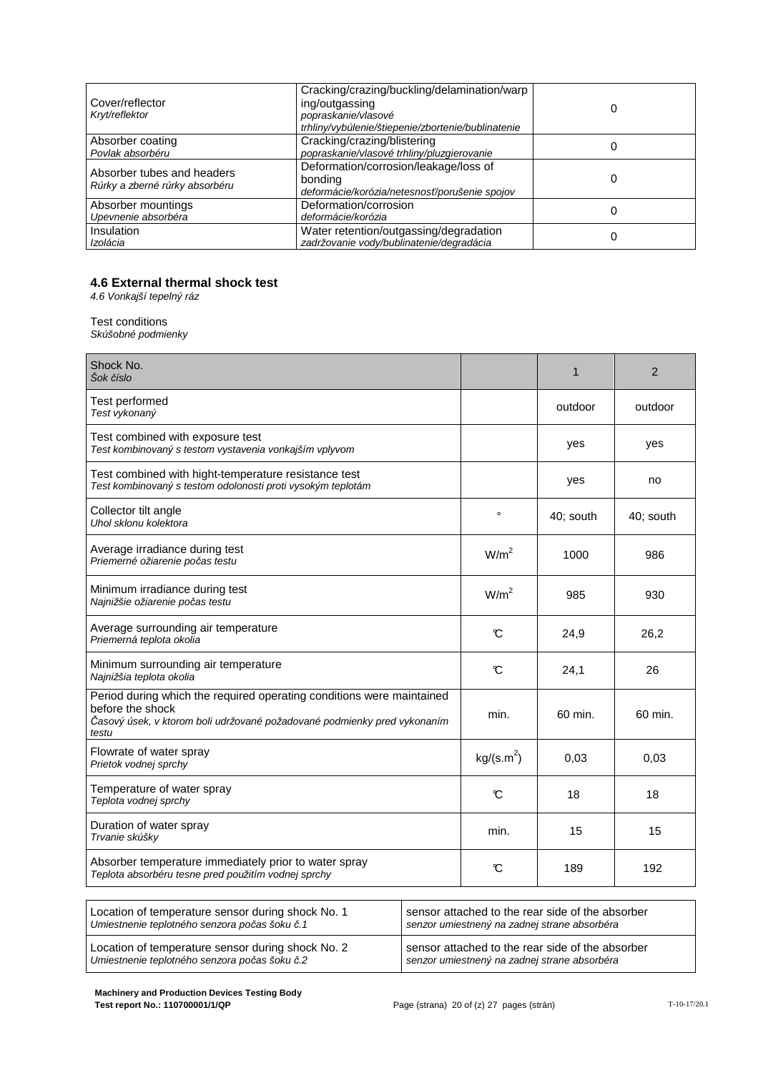| Cover/reflector<br>Kryt/reflektor                            | Cracking/crazing/buckling/delamination/warp<br>ing/outgassing<br>popraskanie/vlasové<br>trhliny/vybúlenie/štiepenie/zbortenie/bublinatenie |  |
|--------------------------------------------------------------|--------------------------------------------------------------------------------------------------------------------------------------------|--|
| Absorber coating<br>Povlak absorbéru                         | Cracking/crazing/blistering<br>popraskanie/vlasové trhliny/pluzgierovanie                                                                  |  |
| Absorber tubes and headers<br>Rúrky a zberné rúrky absorbéru | Deformation/corrosion/leakage/loss of<br>bonding<br>deformácie/korózia/netesnosť/porušenie spojov                                          |  |
| Absorber mountings<br>Upevnenie absorbéra                    | Deformation/corrosion<br>deformácie/korózia                                                                                                |  |
| Insulation<br>Izolácia                                       | Water retention/outgassing/degradation<br>zadržovanie vody/bublinatenie/degradácia                                                         |  |

#### **4.6 External thermal shock test**

4.6 Vonkajší tepelný ráz

#### Test conditions

Skúšobné podmienky

| Shock No.<br>Šok číslo                                                                                                                                                         |                        | $\mathbf{1}$ | $\overline{2}$ |
|--------------------------------------------------------------------------------------------------------------------------------------------------------------------------------|------------------------|--------------|----------------|
| Test performed<br>Test vykonaný                                                                                                                                                |                        | outdoor      | outdoor        |
| Test combined with exposure test<br>Test kombinovaný s testom vystavenia vonkajším vplyvom                                                                                     |                        | yes          | yes            |
| Test combined with hight-temperature resistance test<br>Test kombinovaný s testom odolonosti proti vysokým teplotám                                                            |                        | yes          | no             |
| Collector tilt angle<br>Uhol sklonu kolektora                                                                                                                                  | $\circ$                | 40; south    | 40; south      |
| Average irradiance during test<br>Priemerné ožiarenie počas testu                                                                                                              | W/m <sup>2</sup>       | 1000         | 986            |
| Minimum irradiance during test<br>Najnižšie ožiarenie počas testu                                                                                                              | W/m <sup>2</sup>       | 985          | 930            |
| Average surrounding air temperature<br>Priemerná teplota okolia                                                                                                                | C                      | 24,9         | 26,2           |
| Minimum surrounding air temperature<br>Najnižšia teplota okolia                                                                                                                | C                      | 24,1         | 26             |
| Period during which the required operating conditions were maintained<br>before the shock<br>Časový úsek, v ktorom boli udržované požadované podmienky pred vykonaním<br>testu | min.                   | 60 min.      | 60 min.        |
| Flowrate of water spray<br>Prietok vodnej sprchy                                                                                                                               | kg/(s.m <sup>2</sup> ) | 0.03         | 0.03           |
| Temperature of water spray<br>Teplota vodnej sprchy                                                                                                                            | C                      | 18           | 18             |
| Duration of water spray<br>Trvanie skúšky                                                                                                                                      | min.                   | 15           | 15             |
| Absorber temperature immediately prior to water spray<br>Teplota absorbéru tesne pred použitím vodnej sprchy                                                                   | C                      | 189          | 192            |

| Location of temperature sensor during shock No. 1 | sensor attached to the rear side of the absorber |
|---------------------------------------------------|--------------------------------------------------|
| Umiestnenie teplotného senzora počas šoku č.1     | senzor umiestnený na zadnej strane absorbéra     |
| Location of temperature sensor during shock No. 2 | sensor attached to the rear side of the absorber |
| Umiestnenie teplotného senzora počas šoku č.2     | senzor umiestnený na zadnej strane absorbéra     |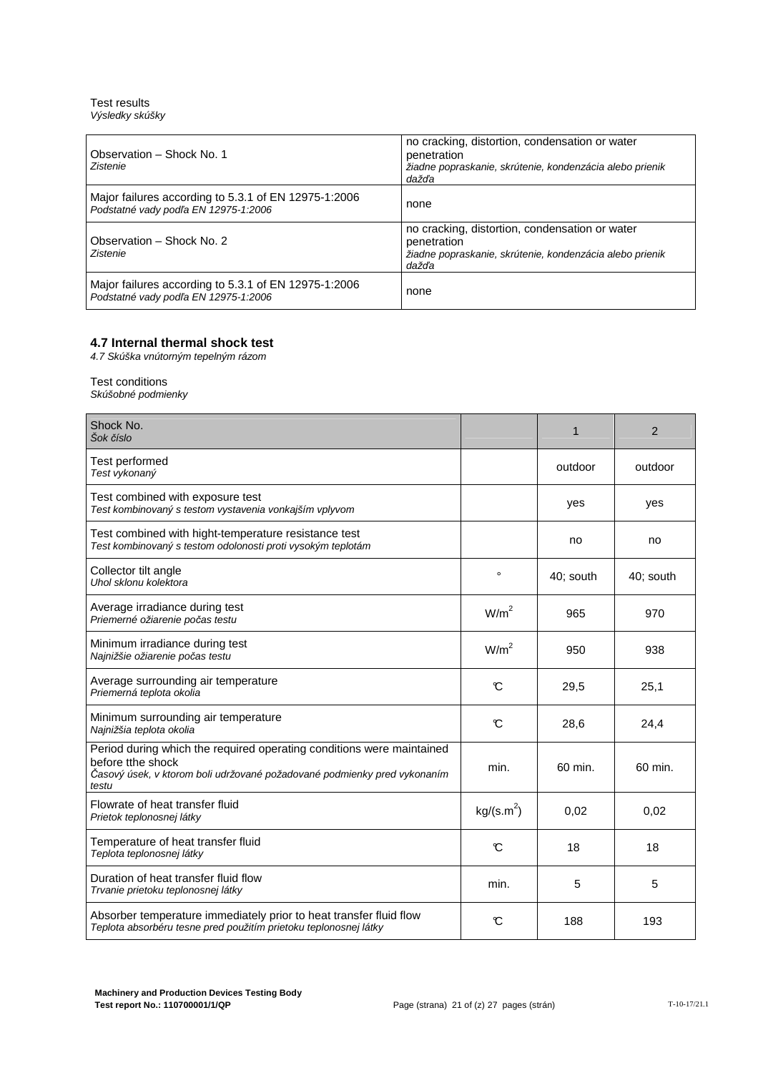Test results Výsledky skúšky

| Observation - Shock No. 1<br>Zistenie                                                        | no cracking, distortion, condensation or water<br>penetration<br>žiadne popraskanie, skrútenie, kondenzácia alebo prienik<br>dažďa |
|----------------------------------------------------------------------------------------------|------------------------------------------------------------------------------------------------------------------------------------|
| Major failures according to 5.3.1 of EN 12975-1:2006<br>Podstatné vady podľa EN 12975-1:2006 | none                                                                                                                               |
| Observation - Shock No. 2<br>Zistenie                                                        | no cracking, distortion, condensation or water<br>penetration<br>žiadne popraskanie, skrútenie, kondenzácia alebo prienik<br>dažďa |
| Major failures according to 5.3.1 of EN 12975-1:2006<br>Podstatné vady podľa EN 12975-1:2006 | none                                                                                                                               |

#### **4.7 Internal thermal shock test**

4.7 Skúška vnútorným tepelným rázom

#### Test conditions Skúšobné podmienky

| Shock No.<br>Šok číslo                                                                                                                                                          |                        | $\mathbf{1}$ | 2         |
|---------------------------------------------------------------------------------------------------------------------------------------------------------------------------------|------------------------|--------------|-----------|
| Test performed<br>Test vykonaný                                                                                                                                                 |                        | outdoor      | outdoor   |
| Test combined with exposure test<br>Test kombinovaný s testom vystavenia vonkajším vplyvom                                                                                      |                        | yes          | yes       |
| Test combined with hight-temperature resistance test<br>Test kombinovaný s testom odolonosti proti vysokým teplotám                                                             |                        | no           | no        |
| Collector tilt angle<br>Uhol sklonu kolektora                                                                                                                                   | $\circ$                | 40; south    | 40; south |
| Average irradiance during test<br>Priemerné ožiarenie počas testu                                                                                                               | W/m <sup>2</sup>       | 965          | 970       |
| Minimum irradiance during test<br>Najnižšie ožiarenie počas testu                                                                                                               | W/m <sup>2</sup>       | 950          | 938       |
| Average surrounding air temperature<br>Priemerná teplota okolia                                                                                                                 | $\mathcal{C}$          | 29,5         | 25,1      |
| Minimum surrounding air temperature<br>Najnižšia teplota okolia                                                                                                                 | $\mathfrak{C}$         | 28,6         | 24,4      |
| Period during which the required operating conditions were maintained<br>before tthe shock<br>Časový úsek, v ktorom boli udržované požadované podmienky pred vykonaním<br>testu | min.                   | 60 min.      | 60 min.   |
| Flowrate of heat transfer fluid<br>Prietok teplonosnej látky                                                                                                                    | kg/(s.m <sup>2</sup> ) | 0.02         | 0.02      |
| Temperature of heat transfer fluid<br>Teplota teplonosnej látky                                                                                                                 | $\mathcal{C}$          | 18           | 18        |
| Duration of heat transfer fluid flow<br>Trvanie prietoku teplonosnej látky                                                                                                      | min.                   | 5            | 5         |
| Absorber temperature immediately prior to heat transfer fluid flow<br>Teplota absorbéru tesne pred použitím prietoku teplonosnej látky                                          | C                      | 188          | 193       |
|                                                                                                                                                                                 |                        |              |           |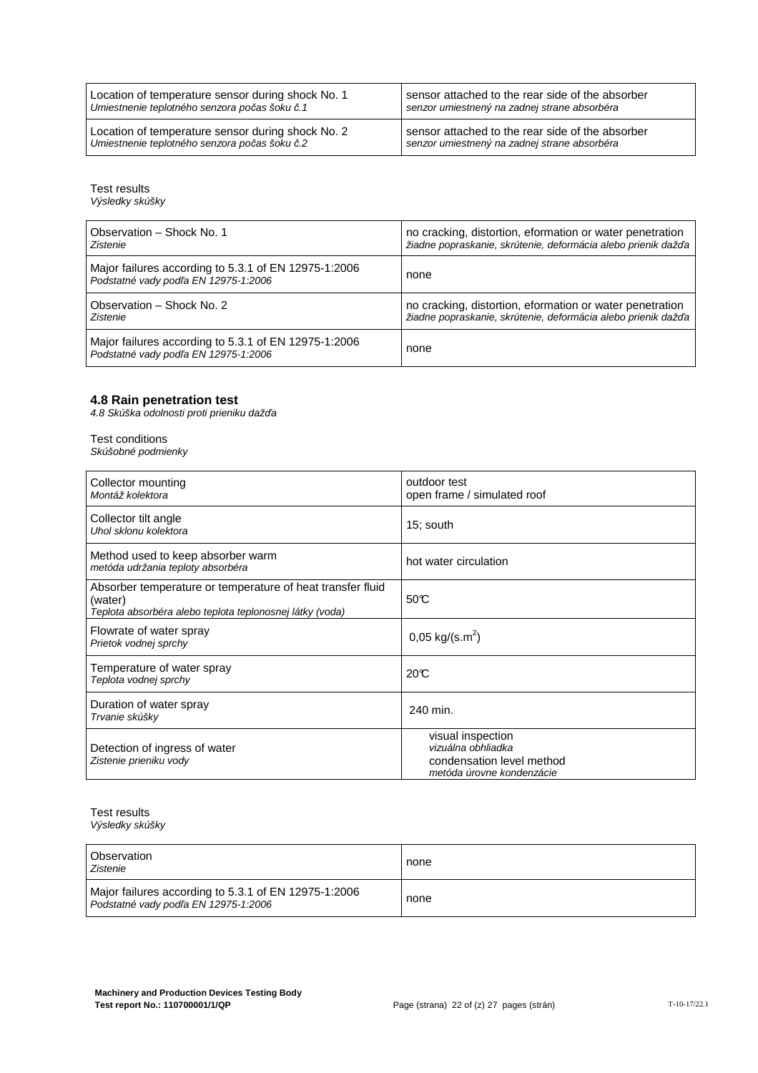| Location of temperature sensor during shock No. 1 | sensor attached to the rear side of the absorber |
|---------------------------------------------------|--------------------------------------------------|
| Umiestnenie teplotného senzora počas šoku č.1     | senzor umiestnený na zadnej strane absorbéra     |
| Location of temperature sensor during shock No. 2 | sensor attached to the rear side of the absorber |
| Umiestnenie teplotného senzora počas šoku č.2     | senzor umiestnený na zadnej strane absorbéra     |

Test results

Výsledky skúšky

| Observation - Shock No. 1                                                                    | no cracking, distortion, eformation or water penetration      |
|----------------------------------------------------------------------------------------------|---------------------------------------------------------------|
| Zistenie                                                                                     | žiadne popraskanie, skrútenie, deformácia alebo prienik dažďa |
| Major failures according to 5.3.1 of EN 12975-1:2006<br>Podstatné vady podľa EN 12975-1:2006 | none                                                          |
| Observation - Shock No. 2                                                                    | no cracking, distortion, eformation or water penetration      |
| Zistenie                                                                                     | žiadne popraskanie, skrútenie, deformácia alebo prienik dažďa |
| Major failures according to 5.3.1 of EN 12975-1:2006<br>Podstatné vady podľa EN 12975-1:2006 | none                                                          |

#### **4.8 Rain penetration test**

4.8 Skúška odolnosti proti prieniku daž*ď*a

# Test conditions

Skúšobné podmienky

| Collector mounting<br>Montáž kolektora                                                                                            | outdoor test<br>open frame / simulated roof                                                       |  |
|-----------------------------------------------------------------------------------------------------------------------------------|---------------------------------------------------------------------------------------------------|--|
| Collector tilt angle<br>Uhol sklonu kolektora                                                                                     | 15; south                                                                                         |  |
| Method used to keep absorber warm<br>metóda udržania teploty absorbéra                                                            | hot water circulation                                                                             |  |
| Absorber temperature or temperature of heat transfer fluid<br>(water)<br>Teplota absorbéra alebo teplota teplonosnej látky (voda) | 50C                                                                                               |  |
| Flowrate of water spray<br>Prietok vodnej sprchy                                                                                  | $0,05 \text{ kg/(s.m}^2)$                                                                         |  |
| Temperature of water spray<br>Teplota vodnej sprchy                                                                               | 20C                                                                                               |  |
| Duration of water spray<br>Trvanie skúšky                                                                                         | 240 min.                                                                                          |  |
| Detection of ingress of water<br>Zistenie prieniku vody                                                                           | visual inspection<br>vizuálna obhliadka<br>condensation level method<br>metóda úrovne kondenzácie |  |

Test results Výsledky skúšky

| Observation<br>Zistenie                                                                      | none |
|----------------------------------------------------------------------------------------------|------|
| Major failures according to 5.3.1 of EN 12975-1:2006<br>Podstatné vady podľa EN 12975-1:2006 | none |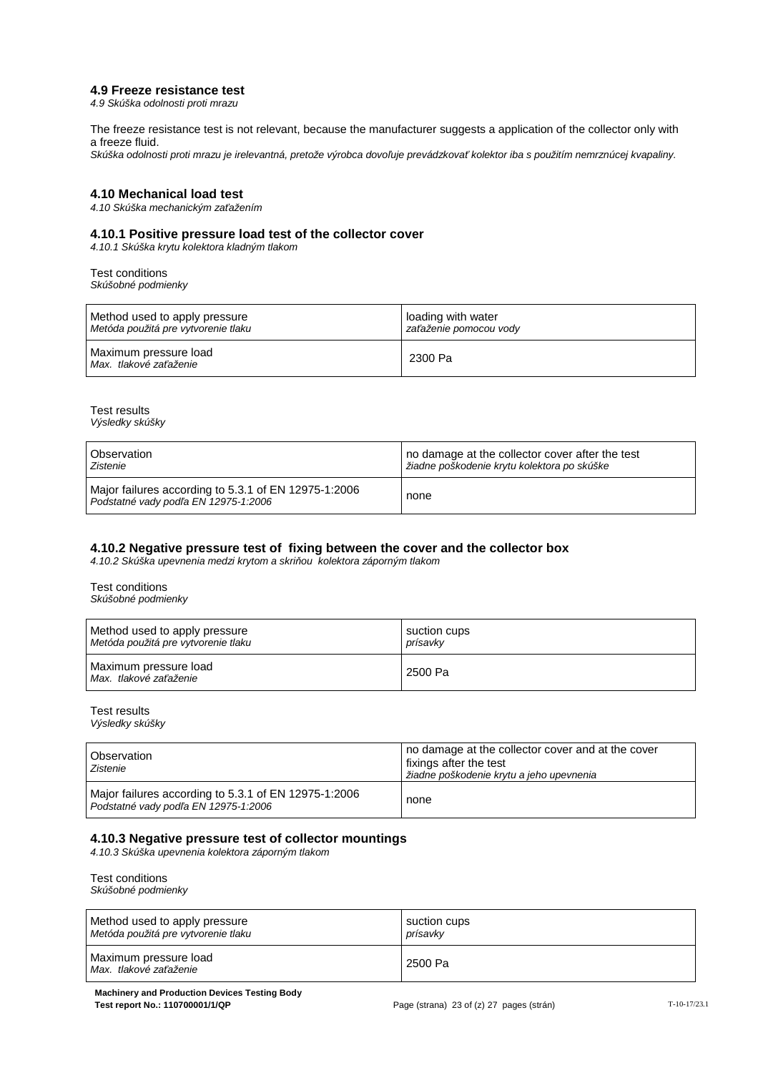#### **4.9 Freeze resistance test**

4.9 Skúška odolnosti proti mrazu

The freeze resistance test is not relevant, because the manufacturer suggests a application of the collector only with a freeze fluid.

Skúška odolnosti proti mrazu je irelevantná, pretože výrobca dovo*ľ*uje prevádzkova*ť* kolektor iba s použitím nemrznúcej kvapaliny.

#### **4.10 Mechanical load test**

4.10 Skúška mechanickým za*ť*ažením

#### **4.10.1 Positive pressure load test of the collector cover**

4.10.1 Skúška krytu kolektora kladným tlakom

Test conditions Skúšobné podmienky

| Method used to apply pressure                   | loading with water     |
|-------------------------------------------------|------------------------|
| Metóda použitá pre vytvorenie tlaku             | zaťaženie pomocou vody |
| Maximum pressure load<br>Max. tlakové zaťaženie | 2300 Pa                |

Test results Výsledky skúšky

| Observation                                                                                  | no damage at the collector cover after the test |
|----------------------------------------------------------------------------------------------|-------------------------------------------------|
| Zistenie                                                                                     | žiadne poškodenie krytu kolektora po skúške     |
| Major failures according to 5.3.1 of EN 12975-1:2006<br>Podstatné vady podľa EN 12975-1:2006 | none                                            |

#### **4.10.2 Negative pressure test of fixing between the cover and the collector box**

4.10.2 Skúška upevnenia medzi krytom a skri*ň*ou kolektora záporným tlakom

Test conditions Skúšobné podmienky

| Method used to apply pressure                   | suction cups |
|-------------------------------------------------|--------------|
| Metóda použitá pre vytvorenie tlaku             | prísavkv     |
| Maximum pressure load<br>Max. tlakové zaťaženie | 2500 Pa      |

Test results Výsledky skúšky

| <b>Observation</b><br>Zistenie                                                               | no damage at the collector cover and at the cover<br>fixings after the test<br>žiadne poškodenie krytu a jeho upevnenia |
|----------------------------------------------------------------------------------------------|-------------------------------------------------------------------------------------------------------------------------|
| Major failures according to 5.3.1 of EN 12975-1:2006<br>Podstatné vady podľa EN 12975-1:2006 | none                                                                                                                    |

#### **4.10.3 Negative pressure test of collector mountings**

4.10.3 Skúška upevnenia kolektora záporným tlakom

Test conditions Skúšobné podmienky

| Method used to apply pressure                   | suction cups |
|-------------------------------------------------|--------------|
| Metóda použitá pre vytvorenie tlaku             | prísavkv     |
| Maximum pressure load<br>Max. tlakové zaťaženie | 2500 Pa      |

**Machinery and Production Devices Testing Body Test report No.: 110700001/1/QP Page (strana) 23 of (z) 27 pages (strán)** T-10-17/23.1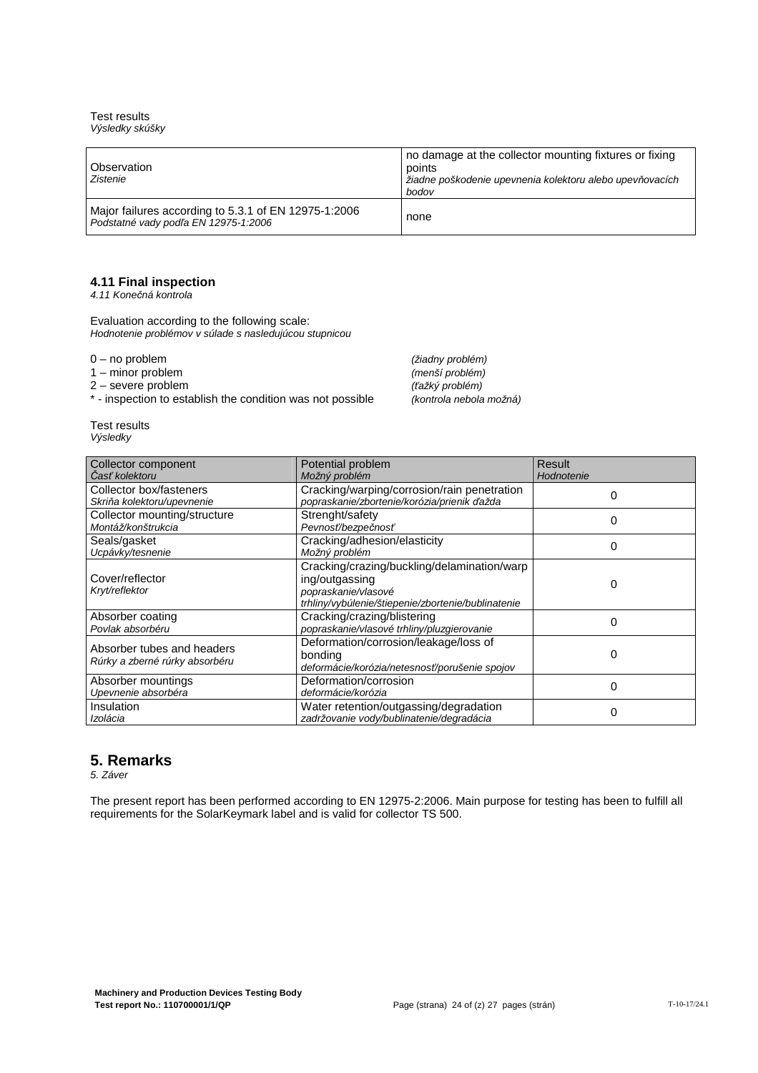Test results Výsledky skúšky

| Observation<br>Zistenie                                                                      | no damage at the collector mounting fixtures or fixing<br>points<br>žiadne poškodenie upevnenia kolektoru alebo upevňovacích<br>bodov |
|----------------------------------------------------------------------------------------------|---------------------------------------------------------------------------------------------------------------------------------------|
| Major failures according to 5.3.1 of EN 12975-1:2006<br>Podstatné vady podľa EN 12975-1:2006 | none                                                                                                                                  |

#### **4.11 Final inspection**

4.11 Kone*č*ná kontrola

Evaluation according to the following scale: Hodnotenie problémov v súlade s nasledujúcou stupnicou

2 – severe problem (*ť*ažký problém)

\* - inspection to establish the condition was not possible (kontrola nebola možná)

0 – no problem (žiadny problém)<br>1 – minor problem († 10. května 1. května 1. května 1. května 1. května 1. května 1. května 1. května 1. květn 1 – minor problem (menší problém)

|          | Test results |
|----------|--------------|
| Výsledky |              |

| Collector component                                          | Potential problem                                                                                                                          | Result     |
|--------------------------------------------------------------|--------------------------------------------------------------------------------------------------------------------------------------------|------------|
| Časť kolektoru                                               | Možný problém                                                                                                                              | Hodnotenie |
| Collector box/fasteners<br>Skriňa kolektoru/upevnenie        | Cracking/warping/corrosion/rain penetration<br>popraskanie/zbortenie/korózia/prienik ďažda                                                 | 0          |
| Collector mounting/structure<br>Montáž/konštrukcia           | Strenght/safety<br>Pevnosť/bezpečnosť                                                                                                      | 0          |
| Seals/gasket<br>Ucpávky/tesnenie                             | Cracking/adhesion/elasticity<br>Možný problém                                                                                              | 0          |
| Cover/reflector<br>Kryt/reflektor                            | Cracking/crazing/buckling/delamination/warp<br>ing/outgassing<br>popraskanie/vlasové<br>trhliny/vybúlenie/štiepenie/zbortenie/bublinatenie | 0          |
| Absorber coating<br>Povlak absorbéru                         | Cracking/crazing/blistering<br>popraskanie/vlasové trhliny/pluzgierovanie                                                                  | 0          |
| Absorber tubes and headers<br>Rúrky a zberné rúrky absorbéru | Deformation/corrosion/leakage/loss of<br>bonding<br>deformácie/korózia/netesnosť/porušenie spojov                                          | 0          |
| Absorber mountings<br>Upevnenie absorbéra                    | Deformation/corrosion<br>deformácie/korózia                                                                                                | 0          |
| Insulation<br>Izolácia                                       | Water retention/outgassing/degradation<br>zadržovanie vody/bublinatenie/degradácia                                                         | 0          |

#### **5. Remarks**

5. Záver

The present report has been performed according to EN 12975-2:2006. Main purpose for testing has been to fulfill all requirements for the SolarKeymark label and is valid for collector TS 500.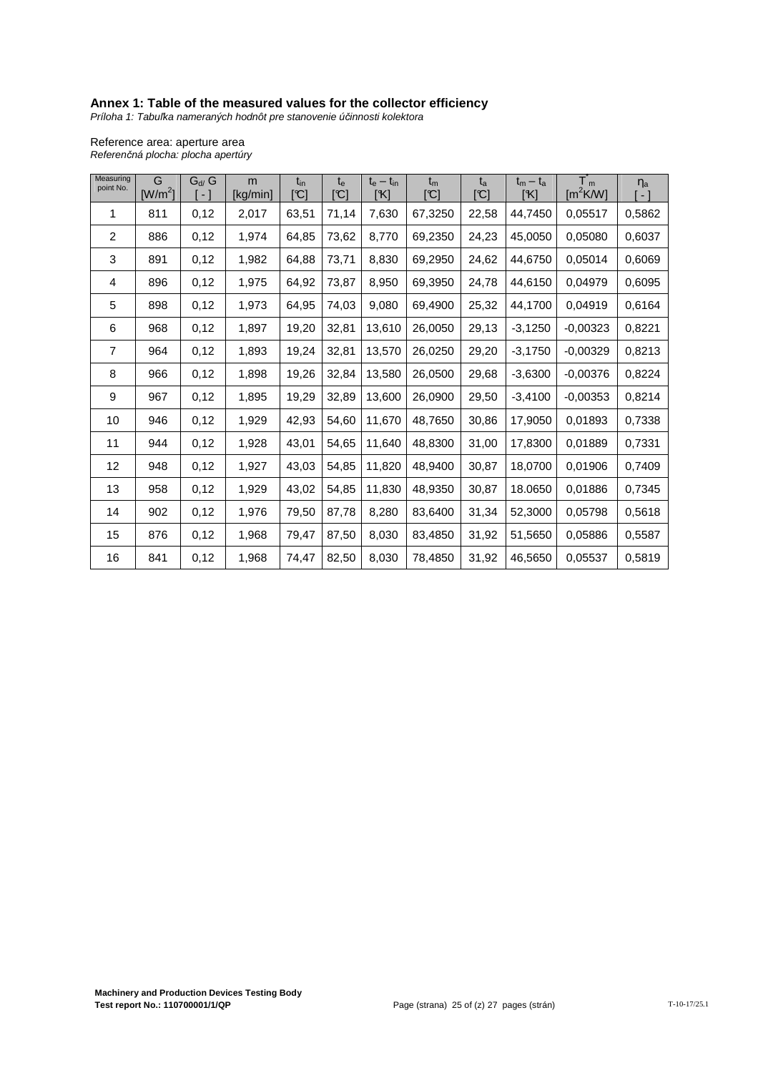#### **Annex 1: Table of the measured values for the collector efficiency**

Príloha 1: Tabu*ľ*ka nameraných hodnôt pre stanovenie ú*č*innosti kolektora

Reference area: aperture area Referen*č*ná plocha: plocha apertúry

| Measuring<br>point No. | G<br>[ $W/m2$ ] | $G_{d}/G$<br>E | m<br>[kg/min] | $t_{\text{in}}$<br>$\lbrack \mathbb{C} \rbrack$ | $t_{e}$<br>$\mathbb{C}^1$ | $t_e - t_{in}$<br>[K] | $t_{m}$<br>$\mathbb{C}^1$ | $t_{a}$<br>$\mathbb{C}$ ] | $t_m - t_a$<br>[K] | $T_m$<br>[ $m^2$ K/W] | $\eta_a$<br>$-1$ |
|------------------------|-----------------|----------------|---------------|-------------------------------------------------|---------------------------|-----------------------|---------------------------|---------------------------|--------------------|-----------------------|------------------|
| 1                      | 811             | 0,12           | 2,017         | 63,51                                           | 71,14                     | 7,630                 | 67,3250                   | 22,58                     | 44,7450            | 0,05517               | 0,5862           |
| $\overline{c}$         | 886             | 0,12           | 1,974         | 64,85                                           | 73,62                     | 8,770                 | 69,2350                   | 24,23                     | 45,0050            | 0,05080               | 0,6037           |
| 3                      | 891             | 0,12           | 1,982         | 64,88                                           | 73,71                     | 8,830                 | 69,2950                   | 24,62                     | 44,6750            | 0,05014               | 0,6069           |
| 4                      | 896             | 0,12           | 1,975         | 64,92                                           | 73,87                     | 8,950                 | 69,3950                   | 24,78                     | 44,6150            | 0,04979               | 0,6095           |
| 5                      | 898             | 0,12           | 1,973         | 64,95                                           | 74,03                     | 9,080                 | 69,4900                   | 25,32                     | 44,1700            | 0,04919               | 0,6164           |
| 6                      | 968             | 0,12           | 1,897         | 19,20                                           | 32,81                     | 13,610                | 26,0050                   | 29,13                     | $-3,1250$          | $-0,00323$            | 0,8221           |
| $\overline{7}$         | 964             | 0,12           | 1,893         | 19,24                                           | 32,81                     | 13,570                | 26,0250                   | 29,20                     | $-3,1750$          | $-0,00329$            | 0,8213           |
| 8                      | 966             | 0,12           | 1,898         | 19,26                                           | 32,84                     | 13,580                | 26,0500                   | 29,68                     | $-3,6300$          | $-0,00376$            | 0,8224           |
| 9                      | 967             | 0,12           | 1,895         | 19,29                                           | 32,89                     | 13,600                | 26,0900                   | 29,50                     | $-3,4100$          | $-0,00353$            | 0,8214           |
| 10                     | 946             | 0,12           | 1,929         | 42,93                                           | 54,60                     | 11,670                | 48,7650                   | 30,86                     | 17,9050            | 0,01893               | 0,7338           |
| 11                     | 944             | 0,12           | 1,928         | 43,01                                           | 54,65                     | 11,640                | 48,8300                   | 31,00                     | 17,8300            | 0,01889               | 0,7331           |
| 12                     | 948             | 0,12           | 1,927         | 43,03                                           | 54,85                     | 11,820                | 48,9400                   | 30,87                     | 18,0700            | 0,01906               | 0,7409           |
| 13                     | 958             | 0,12           | 1,929         | 43,02                                           | 54,85                     | 11,830                | 48,9350                   | 30,87                     | 18.0650            | 0,01886               | 0,7345           |
| 14                     | 902             | 0,12           | 1,976         | 79,50                                           | 87,78                     | 8,280                 | 83,6400                   | 31,34                     | 52,3000            | 0,05798               | 0,5618           |
| 15                     | 876             | 0,12           | 1,968         | 79,47                                           | 87,50                     | 8,030                 | 83,4850                   | 31,92                     | 51,5650            | 0,05886               | 0,5587           |
| 16                     | 841             | 0,12           | 1,968         | 74,47                                           | 82,50                     | 8,030                 | 78,4850                   | 31,92                     | 46,5650            | 0,05537               | 0,5819           |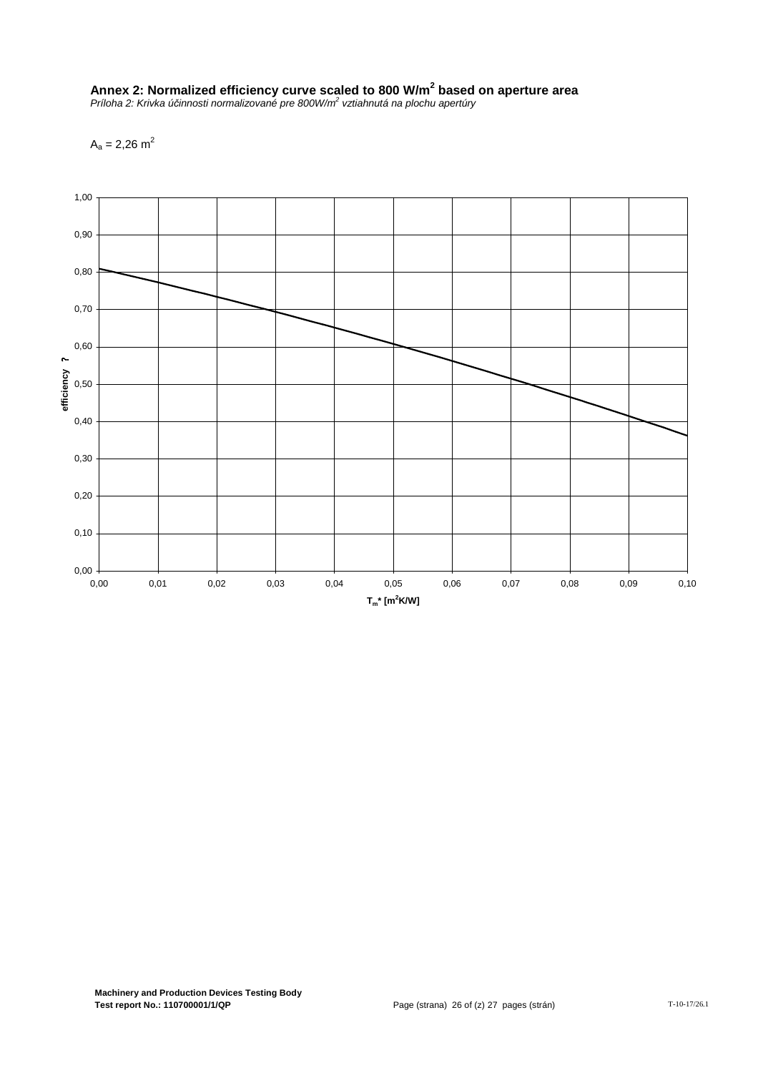# **Annex 2: Normalized efficiency curve scaled to 800 W/m<sup>2</sup> based on aperture area**

Príloha 2: Krivka účinnosti normalizované pre 800W/m<sup>2</sup> vztiahnutá na plochu apertúry

 $A_a = 2,26$  m<sup>2</sup>